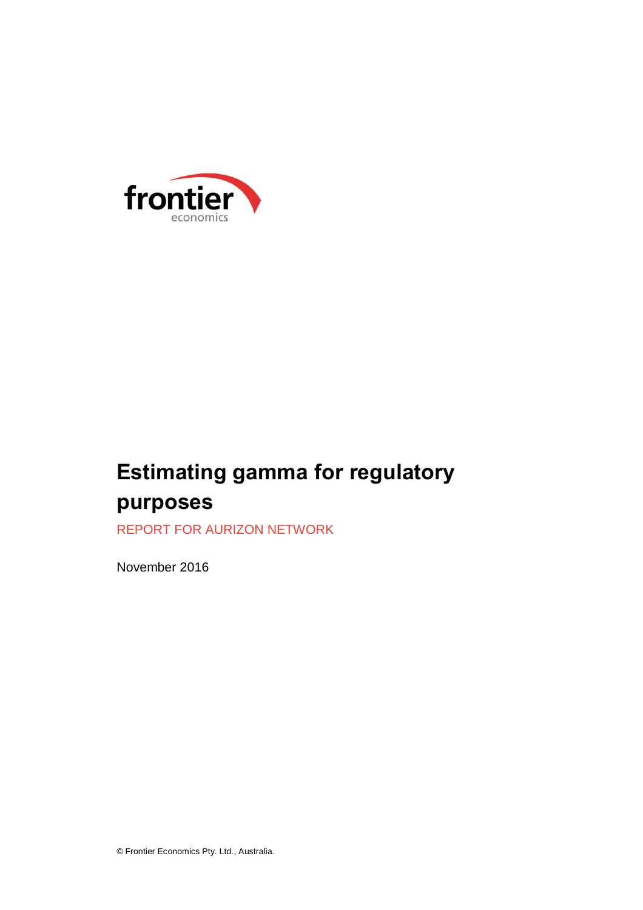

# **Estimating gamma for regulatory purposes**

REPORT FOR AURIZON NETWORK

November 2016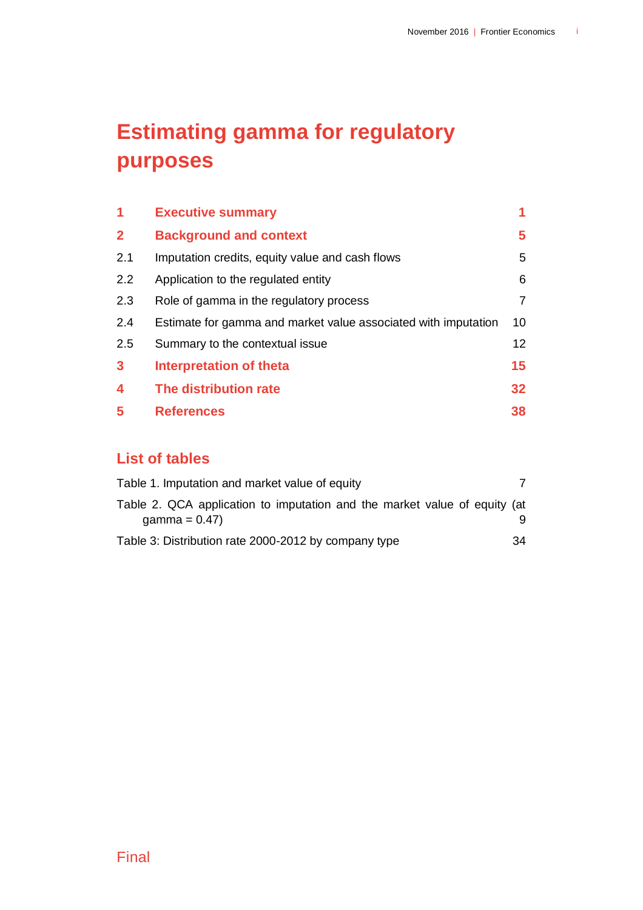# **Estimating gamma for regulatory purposes**

| 1                       | <b>Executive summary</b>                                       |                 |
|-------------------------|----------------------------------------------------------------|-----------------|
| $\overline{2}$          | <b>Background and context</b>                                  | 5               |
| 2.1                     | Imputation credits, equity value and cash flows                | 5               |
| 2.2                     | Application to the regulated entity                            | 6               |
| 2.3                     | Role of gamma in the regulatory process                        | 7               |
| 2.4                     | Estimate for gamma and market value associated with imputation | 10 <sup>°</sup> |
| 2.5                     | Summary to the contextual issue                                | 12 <sup>2</sup> |
| $\mathbf{3}$            | <b>Interpretation of theta</b>                                 | 15              |
| $\overline{\mathbf{4}}$ | The distribution rate                                          | 32 <sub>2</sub> |
| 5                       | <b>References</b>                                              | 38              |

# **List of tables**

| Table 1. Imputation and market value of equity                            |    |
|---------------------------------------------------------------------------|----|
| Table 2. QCA application to imputation and the market value of equity (at |    |
| gamma = $0.47$ )                                                          |    |
| Table 3: Distribution rate 2000-2012 by company type                      | 34 |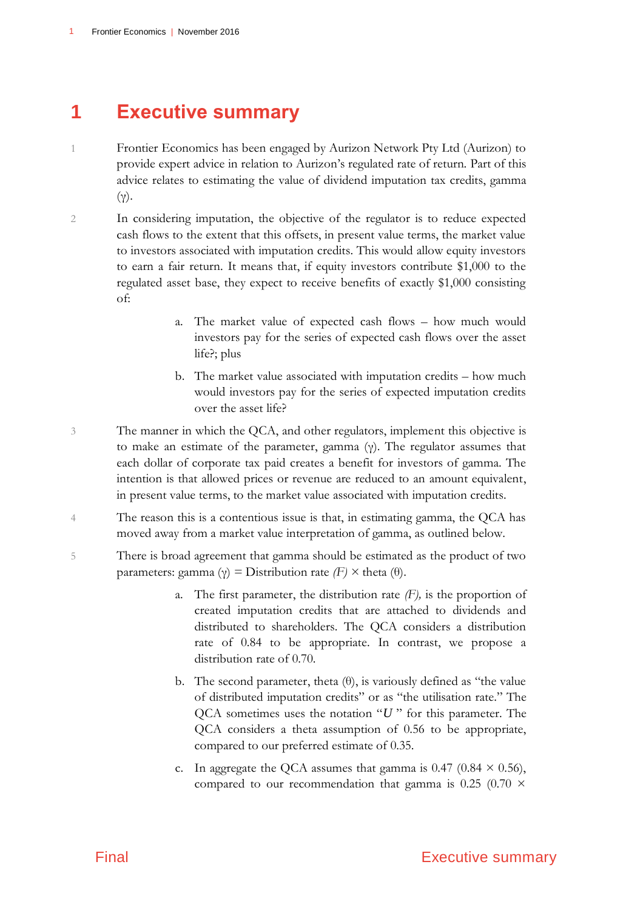# <span id="page-4-0"></span>**1 Executive summary**

- 1 Frontier Economics has been engaged by Aurizon Network Pty Ltd (Aurizon) to provide expert advice in relation to Aurizon's regulated rate of return. Part of this advice relates to estimating the value of dividend imputation tax credits, gamma (γ).
- 2 In considering imputation, the objective of the regulator is to reduce expected cash flows to the extent that this offsets, in present value terms, the market value to investors associated with imputation credits. This would allow equity investors to earn a fair return. It means that, if equity investors contribute \$1,000 to the regulated asset base, they expect to receive benefits of exactly \$1,000 consisting of:
	- a. The market value of expected cash flows how much would investors pay for the series of expected cash flows over the asset life?; plus
	- b. The market value associated with imputation credits how much would investors pay for the series of expected imputation credits over the asset life?
- 3 The manner in which the QCA, and other regulators, implement this objective is to make an estimate of the parameter, gamma (γ). The regulator assumes that each dollar of corporate tax paid creates a benefit for investors of gamma. The intention is that allowed prices or revenue are reduced to an amount equivalent, in present value terms, to the market value associated with imputation credits.
- 4 The reason this is a contentious issue is that, in estimating gamma, the QCA has moved away from a market value interpretation of gamma, as outlined below.
- 5 There is broad agreement that gamma should be estimated as the product of two parameters: gamma (γ) = Distribution rate *(F) ×* theta (θ).
	- a. The first parameter, the distribution rate *(F),* is the proportion of created imputation credits that are attached to dividends and distributed to shareholders. The QCA considers a distribution rate of 0.84 to be appropriate. In contrast, we propose a distribution rate of 0.70.
	- b. The second parameter, theta  $(\theta)$ , is variously defined as "the value" of distributed imputation credits" or as "the utilisation rate." The QCA sometimes uses the notation " *U* " for this parameter. The QCA considers a theta assumption of 0.56 to be appropriate, compared to our preferred estimate of 0.35.
	- c. In aggregate the QCA assumes that gamma is  $0.47$  ( $0.84 \times 0.56$ ), compared to our recommendation that gamma is 0.25 (0.70  $\times$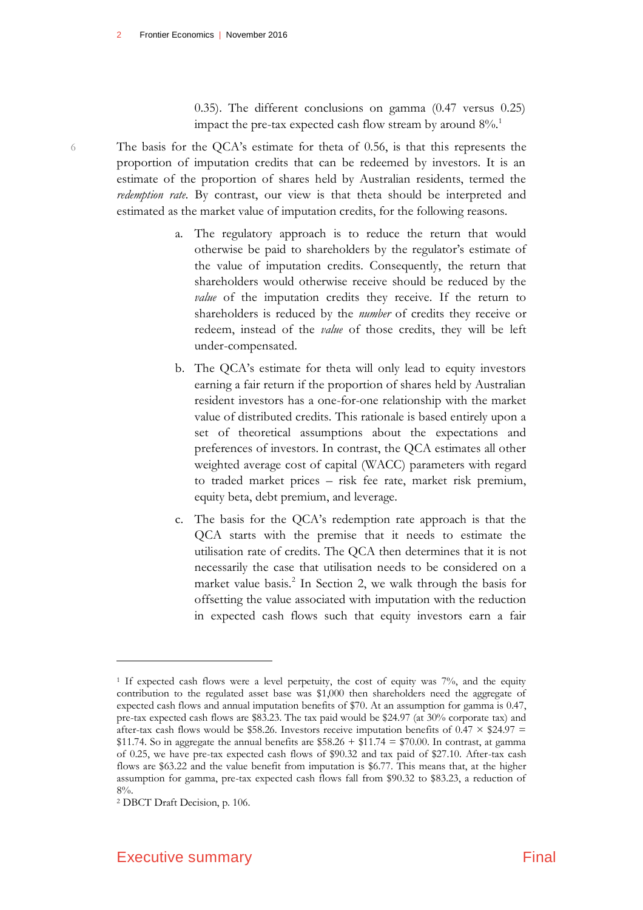0.35). The different conclusions on gamma (0.47 versus 0.25) impact the pre-tax expected cash flow stream by around  $8\%$ <sup>1</sup>.

6 The basis for the QCA's estimate for theta of 0.56, is that this represents the proportion of imputation credits that can be redeemed by investors. It is an estimate of the proportion of shares held by Australian residents, termed the *redemption rate.* By contrast, our view is that theta should be interpreted and estimated as the market value of imputation credits, for the following reasons.

- a. The regulatory approach is to reduce the return that would otherwise be paid to shareholders by the regulator's estimate of the value of imputation credits. Consequently, the return that shareholders would otherwise receive should be reduced by the *value* of the imputation credits they receive. If the return to shareholders is reduced by the *number* of credits they receive or redeem, instead of the *value* of those credits, they will be left under-compensated.
- b. The QCA's estimate for theta will only lead to equity investors earning a fair return if the proportion of shares held by Australian resident investors has a one-for-one relationship with the market value of distributed credits. This rationale is based entirely upon a set of theoretical assumptions about the expectations and preferences of investors. In contrast, the QCA estimates all other weighted average cost of capital (WACC) parameters with regard to traded market prices – risk fee rate, market risk premium, equity beta, debt premium, and leverage.
- c. The basis for the QCA's redemption rate approach is that the QCA starts with the premise that it needs to estimate the utilisation rate of credits. The QCA then determines that it is not necessarily the case that utilisation needs to be considered on a market value basis.<sup>2</sup> In Section 2, we walk through the basis for offsetting the value associated with imputation with the reduction in expected cash flows such that equity investors earn a fair

<sup>1</sup> If expected cash flows were a level perpetuity, the cost of equity was 7%, and the equity contribution to the regulated asset base was \$1,000 then shareholders need the aggregate of expected cash flows and annual imputation benefits of \$70. At an assumption for gamma is 0.47, pre-tax expected cash flows are \$83.23. The tax paid would be \$24.97 (at 30% corporate tax) and after-tax cash flows would be \$58.26. Investors receive imputation benefits of  $0.47 \times $24.97 =$  $$11.74. So in aggregate the annual benefits are $58.26 + $11.74 = $70.00.$  In contrast, at gamma of 0.25, we have pre-tax expected cash flows of \$90.32 and tax paid of \$27.10. After-tax cash flows are \$63.22 and the value benefit from imputation is \$6.77. This means that, at the higher assumption for gamma, pre-tax expected cash flows fall from \$90.32 to \$83.23, a reduction of  $8%$ .

<sup>2</sup> DBCT Draft Decision, p. 106.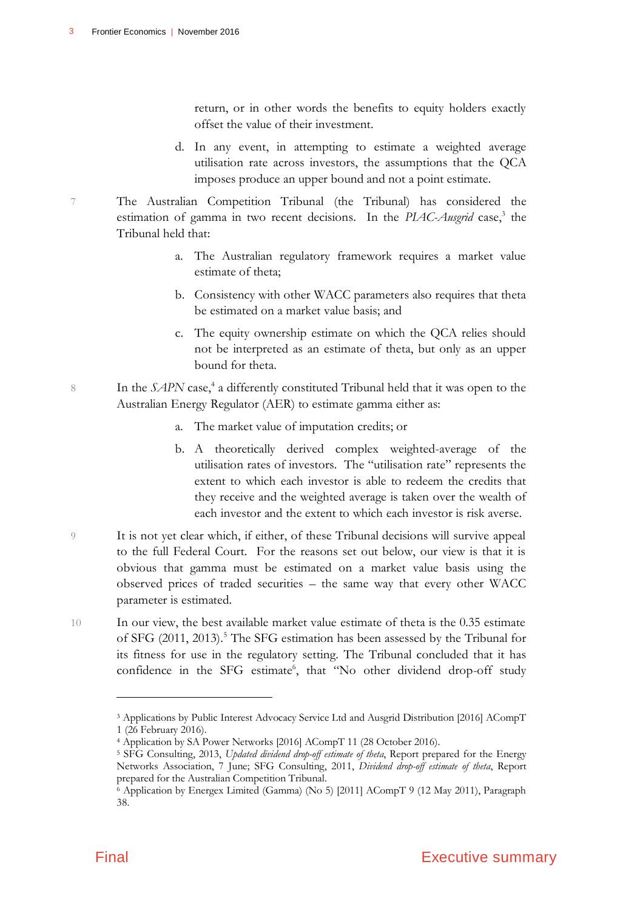return, or in other words the benefits to equity holders exactly offset the value of their investment.

- d. In any event, in attempting to estimate a weighted average utilisation rate across investors, the assumptions that the QCA imposes produce an upper bound and not a point estimate.
- 7 The Australian Competition Tribunal (the Tribunal) has considered the estimation of gamma in two recent decisions. In the *PLAC-Ausgrid* case,<sup>3</sup> the Tribunal held that:
	- a. The Australian regulatory framework requires a market value estimate of theta;
	- b. Consistency with other WACC parameters also requires that theta be estimated on a market value basis; and
	- c. The equity ownership estimate on which the QCA relies should not be interpreted as an estimate of theta, but only as an upper bound for theta.
- 8 In the *SAPN* case,<sup>4</sup> a differently constituted Tribunal held that it was open to the Australian Energy Regulator (AER) to estimate gamma either as:
	- a. The market value of imputation credits; or
	- b. A theoretically derived complex weighted-average of the utilisation rates of investors. The "utilisation rate" represents the extent to which each investor is able to redeem the credits that they receive and the weighted average is taken over the wealth of each investor and the extent to which each investor is risk averse.
- 9 It is not yet clear which, if either, of these Tribunal decisions will survive appeal to the full Federal Court. For the reasons set out below, our view is that it is obvious that gamma must be estimated on a market value basis using the observed prices of traded securities – the same way that every other WACC parameter is estimated.
- 10 In our view, the best available market value estimate of theta is the 0.35 estimate of SFG (2011, 2013).<sup>5</sup> The SFG estimation has been assessed by the Tribunal for its fitness for use in the regulatory setting. The Tribunal concluded that it has confidence in the SFG estimate<sup>6</sup>, that "No other dividend drop-off study

<sup>3</sup> Applications by Public Interest Advocacy Service Ltd and Ausgrid Distribution [2016] ACompT 1 (26 February 2016).

<sup>4</sup> Application by SA Power Networks [2016] ACompT 11 (28 October 2016).

<sup>5</sup> SFG Consulting, 2013, *Updated dividend drop-off estimate of theta*, Report prepared for the Energy Networks Association, 7 June; SFG Consulting, 2011, *Dividend drop-off estimate of theta*, Report prepared for the Australian Competition Tribunal.

<sup>6</sup> Application by Energex Limited (Gamma) (No 5) [2011] ACompT 9 (12 May 2011), Paragraph 38.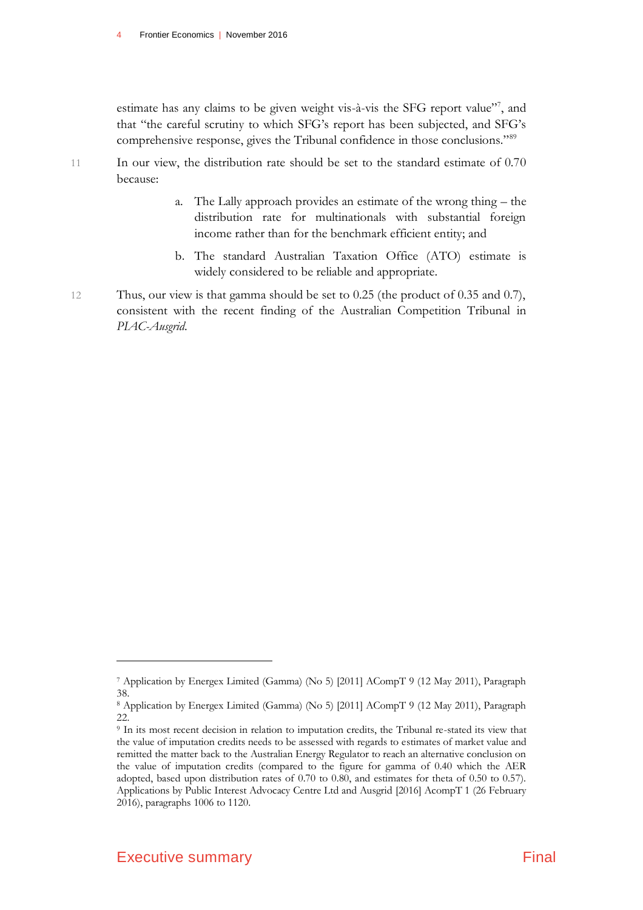estimate has any claims to be given weight vis-à-vis the SFG report value"<sup>7</sup>, and that "the careful scrutiny to which SFG's report has been subjected, and SFG's comprehensive response, gives the Tribunal confidence in those conclusions."<sup>89</sup>

- 11 In our view, the distribution rate should be set to the standard estimate of 0.70 because:
	- a. The Lally approach provides an estimate of the wrong thing the distribution rate for multinationals with substantial foreign income rather than for the benchmark efficient entity; and
	- b. The standard Australian Taxation Office (ATO) estimate is widely considered to be reliable and appropriate.
- 12 Thus, our view is that gamma should be set to 0.25 (the product of 0.35 and 0.7), consistent with the recent finding of the Australian Competition Tribunal in *PIAC-Ausgrid*.

<sup>7</sup> Application by Energex Limited (Gamma) (No 5) [2011] ACompT 9 (12 May 2011), Paragraph 38.

<sup>8</sup> Application by Energex Limited (Gamma) (No 5) [2011] ACompT 9 (12 May 2011), Paragraph 22.

<sup>9</sup> In its most recent decision in relation to imputation credits, the Tribunal re-stated its view that the value of imputation credits needs to be assessed with regards to estimates of market value and remitted the matter back to the Australian Energy Regulator to reach an alternative conclusion on the value of imputation credits (compared to the figure for gamma of 0.40 which the AER adopted, based upon distribution rates of 0.70 to 0.80, and estimates for theta of 0.50 to 0.57). Applications by Public Interest Advocacy Centre Ltd and Ausgrid [2016] AcompT 1 (26 February 2016), paragraphs 1006 to 1120.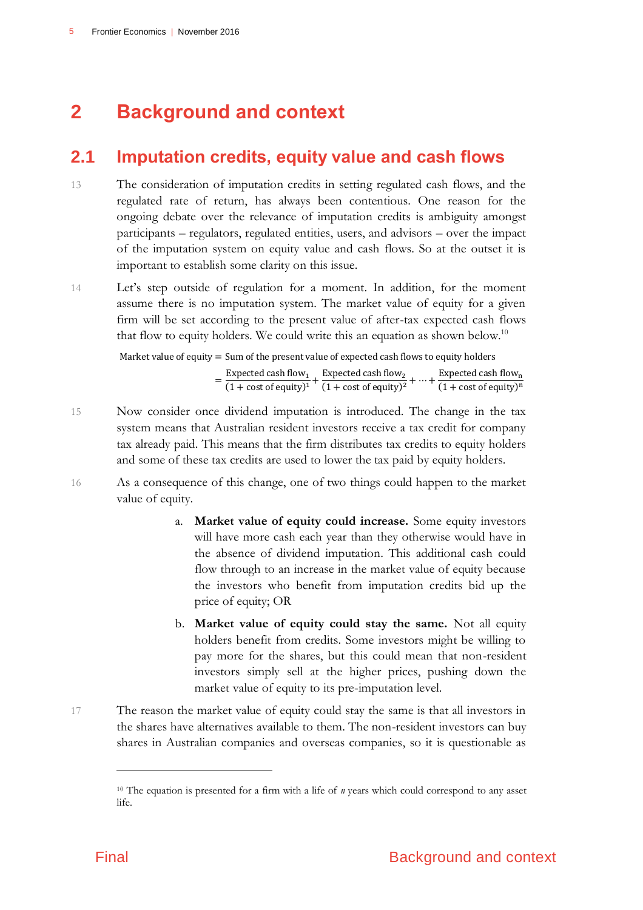# <span id="page-8-0"></span>**2 Background and context**

# <span id="page-8-1"></span>**2.1 Imputation credits, equity value and cash flows**

- 13 The consideration of imputation credits in setting regulated cash flows, and the regulated rate of return, has always been contentious. One reason for the ongoing debate over the relevance of imputation credits is ambiguity amongst participants – regulators, regulated entities, users, and advisors – over the impact of the imputation system on equity value and cash flows. So at the outset it is important to establish some clarity on this issue.
- 14 Let's step outside of regulation for a moment. In addition, for the moment assume there is no imputation system. The market value of equity for a given firm will be set according to the present value of after-tax expected cash flows that flow to equity holders. We could write this an equation as shown below.<sup>10</sup>

Market value of equity = Sum of the present value of expected cash flows to equity holders  
\n
$$
= \frac{\text{Expected cash flow}_1}{(1 + \text{cost of equity})^1} + \frac{\text{Expected cash flow}_2}{(1 + \text{cost of equity})^2} + \dots + \frac{\text{Expected cash flow}_n}{(1 + \text{cost of equity})^n}
$$

- 15 Now consider once dividend imputation is introduced. The change in the tax system means that Australian resident investors receive a tax credit for company tax already paid. This means that the firm distributes tax credits to equity holders and some of these tax credits are used to lower the tax paid by equity holders.
- 16 As a consequence of this change, one of two things could happen to the market value of equity.
	- a. **Market value of equity could increase.** Some equity investors will have more cash each year than they otherwise would have in the absence of dividend imputation. This additional cash could flow through to an increase in the market value of equity because the investors who benefit from imputation credits bid up the price of equity; OR
	- b. **Market value of equity could stay the same.** Not all equity holders benefit from credits. Some investors might be willing to pay more for the shares, but this could mean that non-resident investors simply sell at the higher prices, pushing down the market value of equity to its pre-imputation level.
- 17 The reason the market value of equity could stay the same is that all investors in the shares have alternatives available to them. The non-resident investors can buy shares in Australian companies and overseas companies, so it is questionable as

<sup>&</sup>lt;sup>10</sup> The equation is presented for a firm with a life of *n* years which could correspond to any asset life.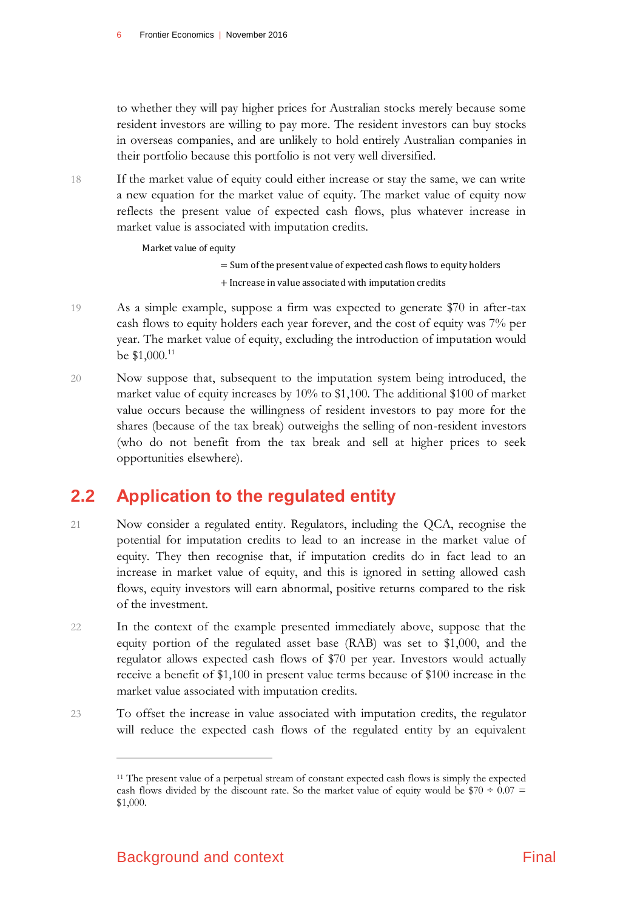to whether they will pay higher prices for Australian stocks merely because some resident investors are willing to pay more. The resident investors can buy stocks in overseas companies, and are unlikely to hold entirely Australian companies in their portfolio because this portfolio is not very well diversified.

18 If the market value of equity could either increase or stay the same, we can write a new equation for the market value of equity. The market value of equity now reflects the present value of expected cash flows, plus whatever increase in market value is associated with imputation credits.

Market value of equity

- = Sum of the present value of expected cash flows to equity holders + Increase in value associated with imputation credits
- 19 As a simple example, suppose a firm was expected to generate \$70 in after-tax cash flows to equity holders each year forever, and the cost of equity was 7% per year. The market value of equity, excluding the introduction of imputation would be \$1,000.<sup>11</sup>
- 20 Now suppose that, subsequent to the imputation system being introduced, the market value of equity increases by 10% to \$1,100. The additional \$100 of market value occurs because the willingness of resident investors to pay more for the shares (because of the tax break) outweighs the selling of non-resident investors (who do not benefit from the tax break and sell at higher prices to seek opportunities elsewhere).

# <span id="page-9-0"></span>**2.2 Application to the regulated entity**

- 21 Now consider a regulated entity. Regulators, including the QCA, recognise the potential for imputation credits to lead to an increase in the market value of equity. They then recognise that, if imputation credits do in fact lead to an increase in market value of equity, and this is ignored in setting allowed cash flows, equity investors will earn abnormal, positive returns compared to the risk of the investment.
- 22 In the context of the example presented immediately above, suppose that the equity portion of the regulated asset base (RAB) was set to \$1,000, and the regulator allows expected cash flows of \$70 per year. Investors would actually receive a benefit of \$1,100 in present value terms because of \$100 increase in the market value associated with imputation credits.
- 23 To offset the increase in value associated with imputation credits, the regulator will reduce the expected cash flows of the regulated entity by an equivalent

<sup>&</sup>lt;sup>11</sup> The present value of a perpetual stream of constant expected cash flows is simply the expected cash flows divided by the discount rate. So the market value of equity would be  $$70 \div 0.07 =$ \$1,000.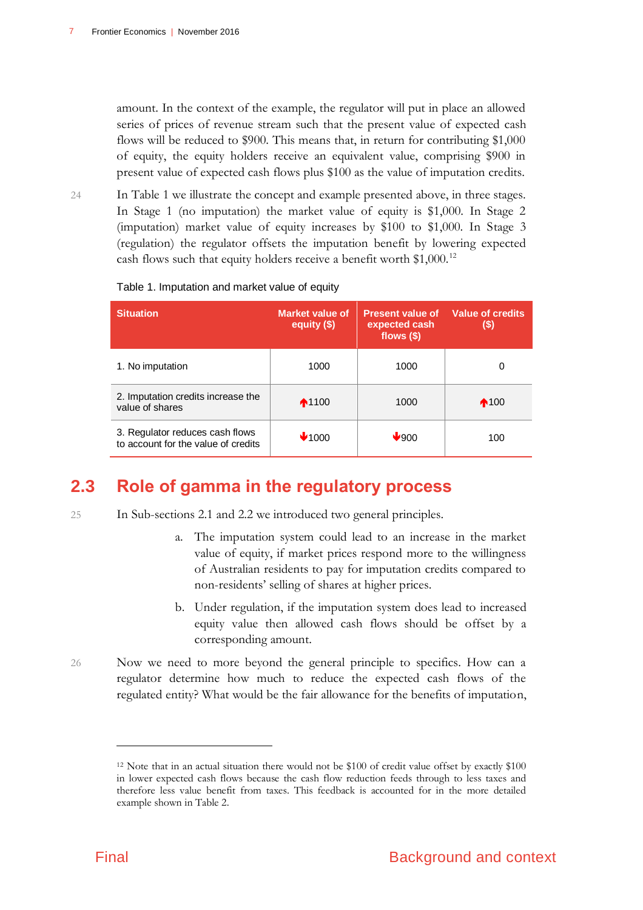amount. In the context of the example, the regulator will put in place an allowed series of prices of revenue stream such that the present value of expected cash flows will be reduced to \$900. This means that, in return for contributing \$1,000 of equity, the equity holders receive an equivalent value, comprising \$900 in present value of expected cash flows plus \$100 as the value of imputation credits.

24 In Table 1 we illustrate the concept and example presented above, in three stages. In Stage 1 (no imputation) the market value of equity is \$1,000. In Stage 2 (imputation) market value of equity increases by \$100 to \$1,000. In Stage 3 (regulation) the regulator offsets the imputation benefit by lowering expected cash flows such that equity holders receive a benefit worth \$1,000.<sup>12</sup>

| <b>Situation</b>                                                       | Market value of<br>equity $(\$)$ | <b>Present value of</b><br>expected cash<br>flows $(\$)$ | <b>Value of credits</b><br>(\$) |
|------------------------------------------------------------------------|----------------------------------|----------------------------------------------------------|---------------------------------|
| 1. No imputation                                                       | 1000                             | 1000                                                     | 0                               |
| 2. Imputation credits increase the<br>value of shares                  | $\bigwedge$ 1100                 | 1000                                                     | $\bigwedge$ 100                 |
| 3. Regulator reduces cash flows<br>to account for the value of credits | $\bigvee$ 1000                   | ✔900                                                     | 100                             |

Table 1. Imputation and market value of equity

# <span id="page-10-0"></span>**2.3 Role of gamma in the regulatory process**

- 25 In Sub-sections 2.1 and 2.2 we introduced two general principles.
	- a. The imputation system could lead to an increase in the market value of equity, if market prices respond more to the willingness of Australian residents to pay for imputation credits compared to non-residents' selling of shares at higher prices.
	- b. Under regulation, if the imputation system does lead to increased equity value then allowed cash flows should be offset by a corresponding amount.
- 26 Now we need to more beyond the general principle to specifics. How can a regulator determine how much to reduce the expected cash flows of the regulated entity? What would be the fair allowance for the benefits of imputation,

<sup>&</sup>lt;sup>12</sup> Note that in an actual situation there would not be \$100 of credit value offset by exactly \$100 in lower expected cash flows because the cash flow reduction feeds through to less taxes and therefore less value benefit from taxes. This feedback is accounted for in the more detailed example shown in Table 2.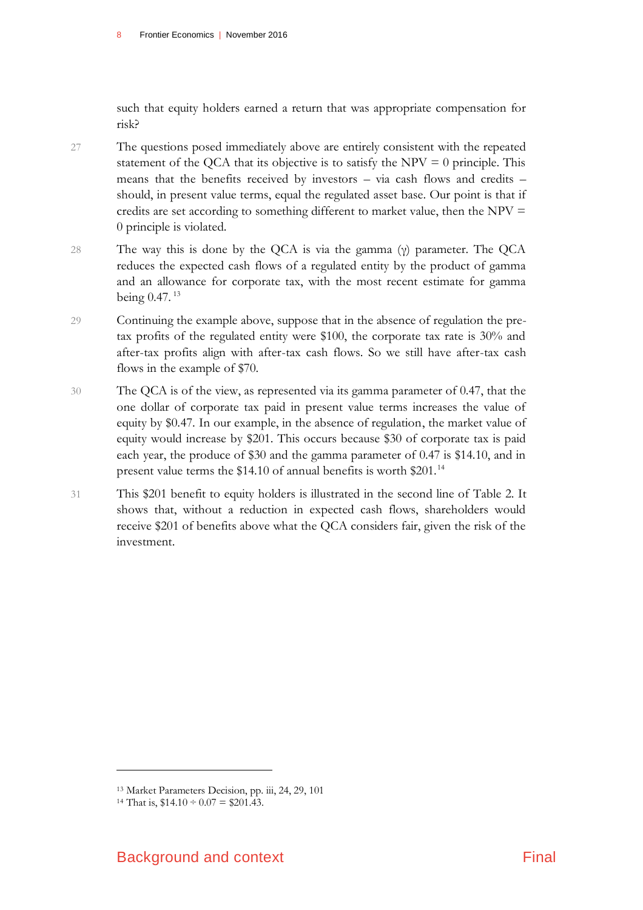such that equity holders earned a return that was appropriate compensation for risk?

- 27 The questions posed immediately above are entirely consistent with the repeated statement of the QCA that its objective is to satisfy the  $NPV = 0$  principle. This means that the benefits received by investors – via cash flows and credits – should, in present value terms, equal the regulated asset base. Our point is that if credits are set according to something different to market value, then the NPV  $=$ 0 principle is violated.
- 28 The way this is done by the QCA is via the gamma (γ) parameter. The QCA reduces the expected cash flows of a regulated entity by the product of gamma and an allowance for corporate tax, with the most recent estimate for gamma being 0.47. <sup>13</sup>
- 29 Continuing the example above, suppose that in the absence of regulation the pretax profits of the regulated entity were \$100, the corporate tax rate is 30% and after-tax profits align with after-tax cash flows. So we still have after-tax cash flows in the example of \$70.
- 30 The QCA is of the view, as represented via its gamma parameter of 0.47, that the one dollar of corporate tax paid in present value terms increases the value of equity by \$0.47. In our example, in the absence of regulation, the market value of equity would increase by \$201. This occurs because \$30 of corporate tax is paid each year, the produce of \$30 and the gamma parameter of 0.47 is \$14.10, and in present value terms the \$14.10 of annual benefits is worth \$201.<sup>14</sup>
- 31 This \$201 benefit to equity holders is illustrated in the second line of Table 2. It shows that, without a reduction in expected cash flows, shareholders would receive \$201 of benefits above what the QCA considers fair, given the risk of the investment.

<sup>13</sup> Market Parameters Decision, pp. iii, 24, 29, 101

<sup>&</sup>lt;sup>14</sup> That is,  $$14.10 \div 0.07 = $201.43$ .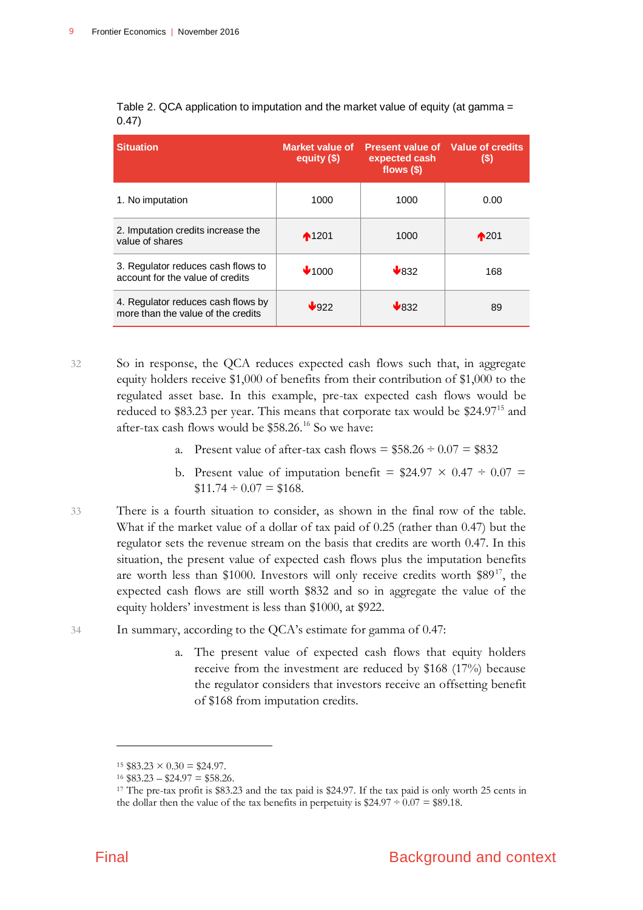| <b>Situation</b>                                                         | Market value of<br>equity $($ math) | <b>Present value of Value of credits</b><br>expected cash<br>flows $($)$ | (S)             |
|--------------------------------------------------------------------------|-------------------------------------|--------------------------------------------------------------------------|-----------------|
| 1. No imputation                                                         | 1000                                | 1000                                                                     | 0.00            |
| 2. Imputation credits increase the<br>value of shares                    | $*1201$                             | 1000                                                                     | $\bigwedge$ 201 |
| 3. Regulator reduces cash flows to<br>account for the value of credits   | $\blacktriangleright$ 1000          | $\bigvee$ 832                                                            | 168             |
| 4. Regulator reduces cash flows by<br>more than the value of the credits | $\sqrt{922}$                        | $\bigvee$ 832                                                            | 89              |

Table 2. QCA application to imputation and the market value of equity (at gamma = 0.47)

32 So in response, the QCA reduces expected cash flows such that, in aggregate equity holders receive \$1,000 of benefits from their contribution of \$1,000 to the regulated asset base. In this example, pre-tax expected cash flows would be reduced to \$83.23 per year. This means that corporate tax would be \$24.97<sup>15</sup> and after-tax cash flows would be \$58.26.<sup>16</sup> So we have:

- a. Present value of after-tax cash flows  $= $58.26 \div 0.07 = $832$
- b. Present value of imputation benefit =  $$24.97 \times 0.47 \div 0.07$  =  $$11.74 \div 0.07 = $168.$
- 33 There is a fourth situation to consider, as shown in the final row of the table. What if the market value of a dollar of tax paid of 0.25 (rather than 0.47) but the regulator sets the revenue stream on the basis that credits are worth 0.47. In this situation, the present value of expected cash flows plus the imputation benefits are worth less than \$1000. Investors will only receive credits worth  $$89<sup>17</sup>$ , the expected cash flows are still worth \$832 and so in aggregate the value of the equity holders' investment is less than \$1000, at \$922.
- 34 In summary, according to the QCA's estimate for gamma of 0.47:
	- a. The present value of expected cash flows that equity holders receive from the investment are reduced by \$168 (17%) because the regulator considers that investors receive an offsetting benefit of \$168 from imputation credits.

 $15 \$83.23 \times 0.30 = \$24.97$ .

 $16$  \$83.23 – \$24.97 = \$58.26.

<sup>&</sup>lt;sup>17</sup> The pre-tax profit is \$83.23 and the tax paid is \$24.97. If the tax paid is only worth 25 cents in the dollar then the value of the tax benefits in perpetuity is  $$24.97 \div 0.07 = $89.18$ .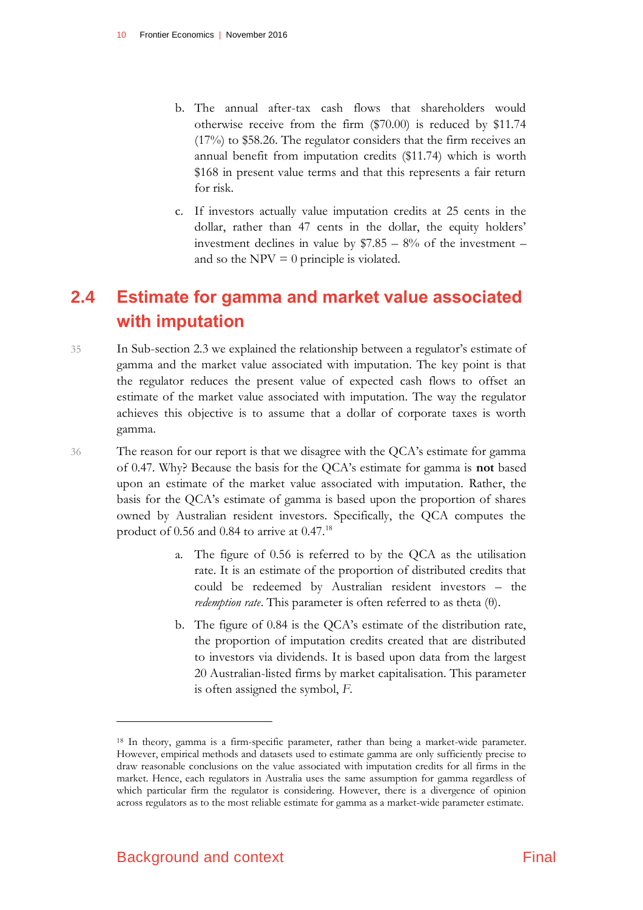- b. The annual after-tax cash flows that shareholders would otherwise receive from the firm (\$70.00) is reduced by \$11.74 (17%) to \$58.26. The regulator considers that the firm receives an annual benefit from imputation credits (\$11.74) which is worth \$168 in present value terms and that this represents a fair return for risk.
- c. If investors actually value imputation credits at 25 cents in the dollar, rather than 47 cents in the dollar, the equity holders' investment declines in value by  $$7.85 - 8%$  of the investment – and so the  $NPV = 0$  principle is violated.

# <span id="page-13-0"></span>**2.4 Estimate for gamma and market value associated with imputation**

35 In Sub-section 2.3 we explained the relationship between a regulator's estimate of gamma and the market value associated with imputation. The key point is that the regulator reduces the present value of expected cash flows to offset an estimate of the market value associated with imputation. The way the regulator achieves this objective is to assume that a dollar of corporate taxes is worth gamma.

36 The reason for our report is that we disagree with the QCA's estimate for gamma of 0.47. Why? Because the basis for the QCA's estimate for gamma is **not** based upon an estimate of the market value associated with imputation. Rather, the basis for the QCA's estimate of gamma is based upon the proportion of shares owned by Australian resident investors. Specifically, the QCA computes the product of 0.56 and 0.84 to arrive at 0.47.<sup>18</sup>

- a. The figure of 0.56 is referred to by the QCA as the utilisation rate. It is an estimate of the proportion of distributed credits that could be redeemed by Australian resident investors – the *redemption rate*. This parameter is often referred to as theta (θ).
- b. The figure of 0.84 is the QCA's estimate of the distribution rate, the proportion of imputation credits created that are distributed to investors via dividends. It is based upon data from the largest 20 Australian-listed firms by market capitalisation. This parameter is often assigned the symbol, *F*.

<sup>18</sup> In theory, gamma is a firm-specific parameter, rather than being a market-wide parameter. However, empirical methods and datasets used to estimate gamma are only sufficiently precise to draw reasonable conclusions on the value associated with imputation credits for all firms in the market. Hence, each regulators in Australia uses the same assumption for gamma regardless of which particular firm the regulator is considering. However, there is a divergence of opinion across regulators as to the most reliable estimate for gamma as a market-wide parameter estimate.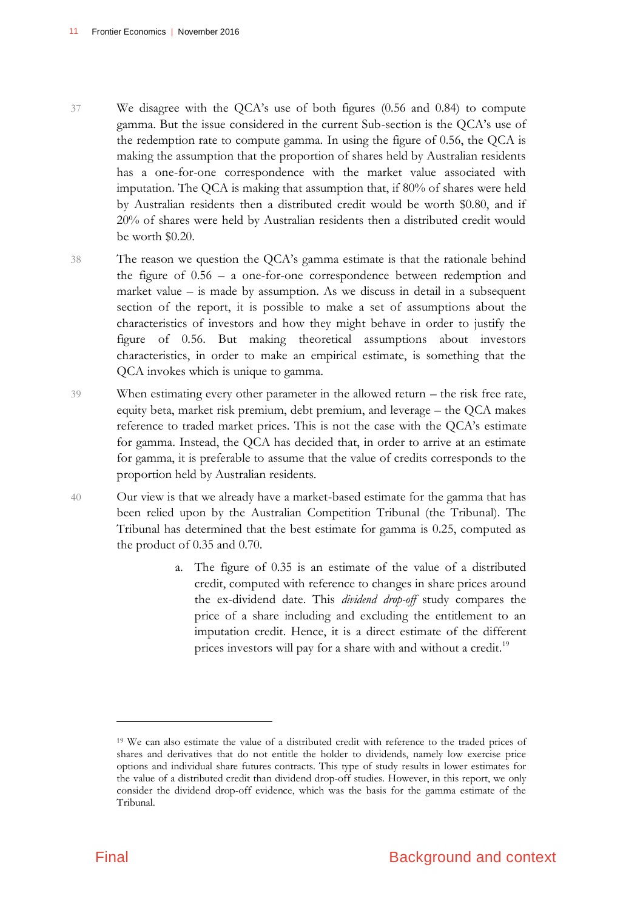- 37 We disagree with the QCA's use of both figures (0.56 and 0.84) to compute gamma. But the issue considered in the current Sub-section is the QCA's use of the redemption rate to compute gamma. In using the figure of 0.56, the QCA is making the assumption that the proportion of shares held by Australian residents has a one-for-one correspondence with the market value associated with imputation. The QCA is making that assumption that, if 80% of shares were held by Australian residents then a distributed credit would be worth \$0.80, and if 20% of shares were held by Australian residents then a distributed credit would be worth \$0.20.
- 38 The reason we question the QCA's gamma estimate is that the rationale behind the figure of 0.56 – a one-for-one correspondence between redemption and market value – is made by assumption. As we discuss in detail in a subsequent section of the report, it is possible to make a set of assumptions about the characteristics of investors and how they might behave in order to justify the figure of 0.56. But making theoretical assumptions about investors characteristics, in order to make an empirical estimate, is something that the QCA invokes which is unique to gamma.
- 39 When estimating every other parameter in the allowed return the risk free rate, equity beta, market risk premium, debt premium, and leverage – the QCA makes reference to traded market prices. This is not the case with the QCA's estimate for gamma. Instead, the QCA has decided that, in order to arrive at an estimate for gamma, it is preferable to assume that the value of credits corresponds to the proportion held by Australian residents.
- 40 Our view is that we already have a market-based estimate for the gamma that has been relied upon by the Australian Competition Tribunal (the Tribunal). The Tribunal has determined that the best estimate for gamma is 0.25, computed as the product of 0.35 and 0.70.
	- a. The figure of 0.35 is an estimate of the value of a distributed credit, computed with reference to changes in share prices around the ex-dividend date. This *dividend drop-off* study compares the price of a share including and excluding the entitlement to an imputation credit. Hence, it is a direct estimate of the different prices investors will pay for a share with and without a credit.<sup>19</sup>

<sup>19</sup> We can also estimate the value of a distributed credit with reference to the traded prices of shares and derivatives that do not entitle the holder to dividends, namely low exercise price options and individual share futures contracts. This type of study results in lower estimates for the value of a distributed credit than dividend drop-off studies. However, in this report, we only consider the dividend drop-off evidence, which was the basis for the gamma estimate of the Tribunal.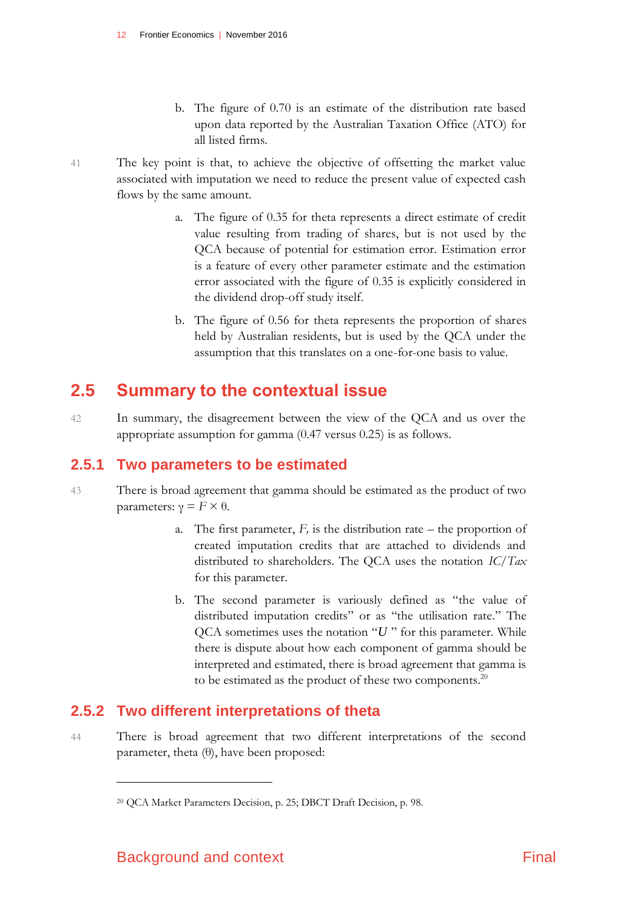- b. The figure of 0.70 is an estimate of the distribution rate based upon data reported by the Australian Taxation Office (ATO) for all listed firms.
- 41 The key point is that, to achieve the objective of offsetting the market value associated with imputation we need to reduce the present value of expected cash flows by the same amount.
	- a. The figure of 0.35 for theta represents a direct estimate of credit value resulting from trading of shares, but is not used by the QCA because of potential for estimation error. Estimation error is a feature of every other parameter estimate and the estimation error associated with the figure of 0.35 is explicitly considered in the dividend drop-off study itself.
	- b. The figure of 0.56 for theta represents the proportion of shares held by Australian residents, but is used by the QCA under the assumption that this translates on a one-for-one basis to value.

# <span id="page-15-0"></span>**2.5 Summary to the contextual issue**

42 In summary, the disagreement between the view of the QCA and us over the appropriate assumption for gamma (0.47 versus 0.25) is as follows.

# **2.5.1 Two parameters to be estimated**

- 43 There is broad agreement that gamma should be estimated as the product of two parameters: γ = *F* × θ.
	- a. The first parameter,  $F$ , is the distribution rate the proportion of created imputation credits that are attached to dividends and distributed to shareholders. The QCA uses the notation *IC/Tax* for this parameter.
	- b. The second parameter is variously defined as "the value of distributed imputation credits" or as "the utilisation rate." The QCA sometimes uses the notation "*U* " for this parameter. While there is dispute about how each component of gamma should be interpreted and estimated, there is broad agreement that gamma is to be estimated as the product of these two components.<sup>20</sup>

# **2.5.2 Two different interpretations of theta**

44 There is broad agreement that two different interpretations of the second parameter, theta  $(\theta)$ , have been proposed:

<sup>20</sup> QCA Market Parameters Decision, p. 25; DBCT Draft Decision, p. 98.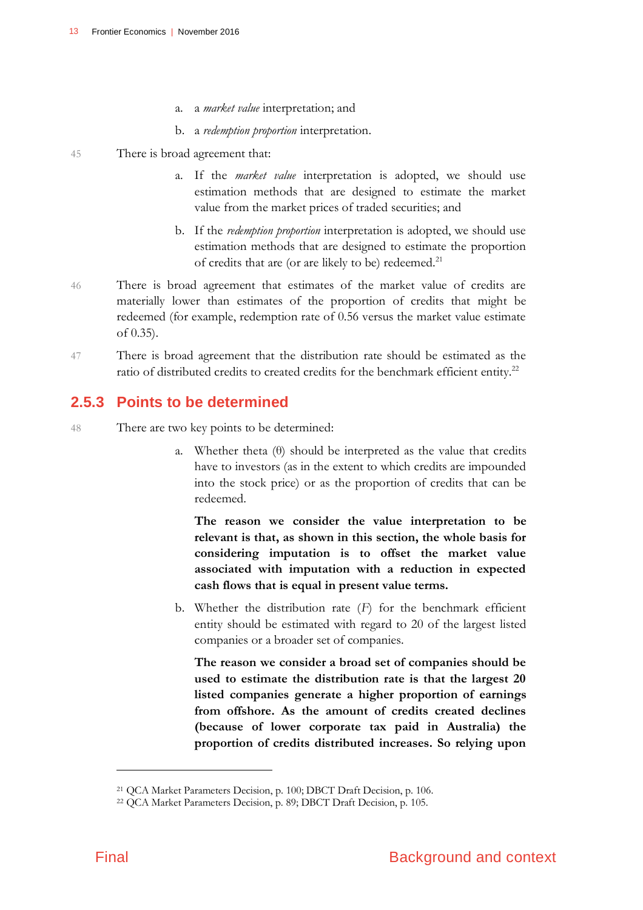- a. a *market value* interpretation; and
- b. a *redemption proportion* interpretation.
- 45 There is broad agreement that:
	- a. If the *market value* interpretation is adopted, we should use estimation methods that are designed to estimate the market value from the market prices of traded securities; and
	- b. If the *redemption proportion* interpretation is adopted, we should use estimation methods that are designed to estimate the proportion of credits that are (or are likely to be) redeemed.<sup>21</sup>
- 46 There is broad agreement that estimates of the market value of credits are materially lower than estimates of the proportion of credits that might be redeemed (for example, redemption rate of 0.56 versus the market value estimate of 0.35).
- 47 There is broad agreement that the distribution rate should be estimated as the ratio of distributed credits to created credits for the benchmark efficient entity.<sup>22</sup>

## **2.5.3 Points to be determined**

- 48 There are two key points to be determined:
	- a. Whether theta  $(\theta)$  should be interpreted as the value that credits have to investors (as in the extent to which credits are impounded into the stock price) or as the proportion of credits that can be redeemed.

**The reason we consider the value interpretation to be relevant is that, as shown in this section, the whole basis for considering imputation is to offset the market value associated with imputation with a reduction in expected cash flows that is equal in present value terms.**

b. Whether the distribution rate (*F*) for the benchmark efficient entity should be estimated with regard to 20 of the largest listed companies or a broader set of companies.

**The reason we consider a broad set of companies should be used to estimate the distribution rate is that the largest 20 listed companies generate a higher proportion of earnings from offshore. As the amount of credits created declines (because of lower corporate tax paid in Australia) the proportion of credits distributed increases. So relying upon** 

<sup>21</sup> QCA Market Parameters Decision, p. 100; DBCT Draft Decision, p. 106.

<sup>22</sup> QCA Market Parameters Decision, p. 89; DBCT Draft Decision, p. 105.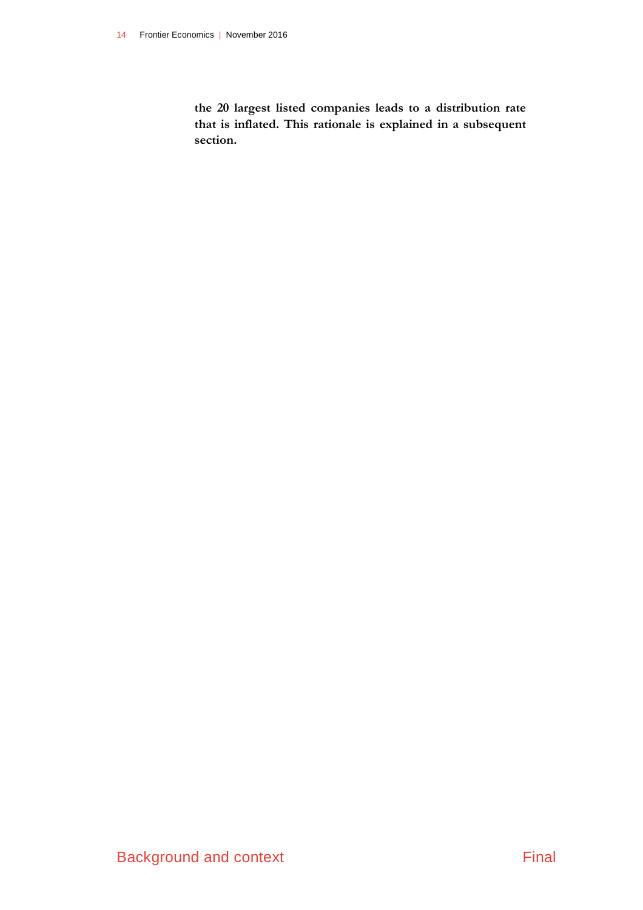**the 20 largest listed companies leads to a distribution rate that is inflated. This rationale is explained in a subsequent section.**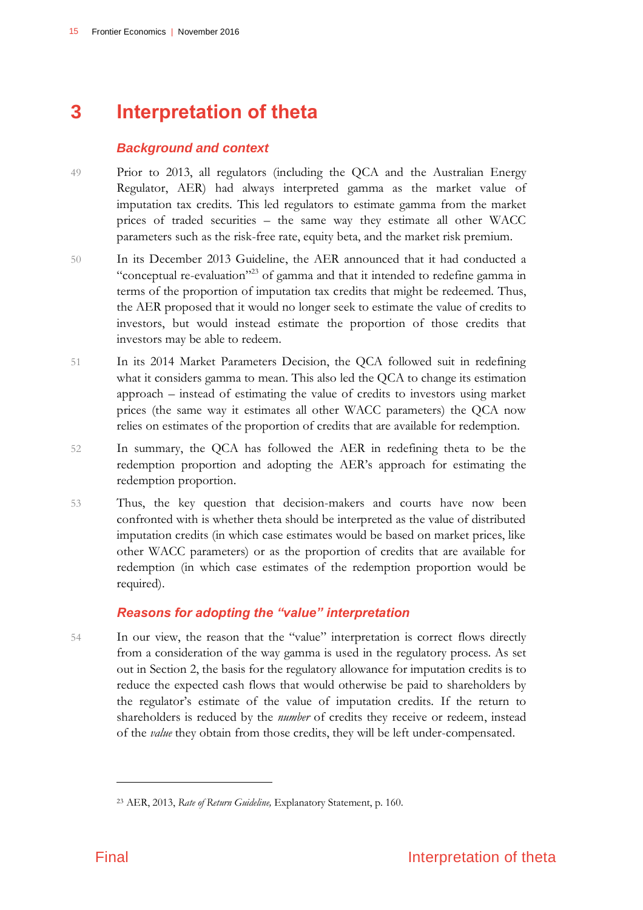# **3 Interpretation of theta**

### <span id="page-18-0"></span>*Background and context*

- 49 Prior to 2013, all regulators (including the QCA and the Australian Energy Regulator, AER) had always interpreted gamma as the market value of imputation tax credits. This led regulators to estimate gamma from the market prices of traded securities – the same way they estimate all other WACC parameters such as the risk-free rate, equity beta, and the market risk premium.
- 50 In its December 2013 Guideline, the AER announced that it had conducted a "conceptual re-evaluation"<sup>23</sup> of gamma and that it intended to redefine gamma in terms of the proportion of imputation tax credits that might be redeemed. Thus, the AER proposed that it would no longer seek to estimate the value of credits to investors, but would instead estimate the proportion of those credits that investors may be able to redeem.
- 51 In its 2014 Market Parameters Decision, the QCA followed suit in redefining what it considers gamma to mean. This also led the QCA to change its estimation approach – instead of estimating the value of credits to investors using market prices (the same way it estimates all other WACC parameters) the QCA now relies on estimates of the proportion of credits that are available for redemption.
- 52 In summary, the QCA has followed the AER in redefining theta to be the redemption proportion and adopting the AER's approach for estimating the redemption proportion.
- 53 Thus, the key question that decision-makers and courts have now been confronted with is whether theta should be interpreted as the value of distributed imputation credits (in which case estimates would be based on market prices, like other WACC parameters) or as the proportion of credits that are available for redemption (in which case estimates of the redemption proportion would be required).

### *Reasons for adopting the "value" interpretation*

54 In our view, the reason that the "value" interpretation is correct flows directly from a consideration of the way gamma is used in the regulatory process. As set out in Section 2, the basis for the regulatory allowance for imputation credits is to reduce the expected cash flows that would otherwise be paid to shareholders by the regulator's estimate of the value of imputation credits. If the return to shareholders is reduced by the *number* of credits they receive or redeem, instead of the *value* they obtain from those credits, they will be left under-compensated.

<sup>23</sup> AER, 2013, *Rate of Return Guideline,* Explanatory Statement, p. 160.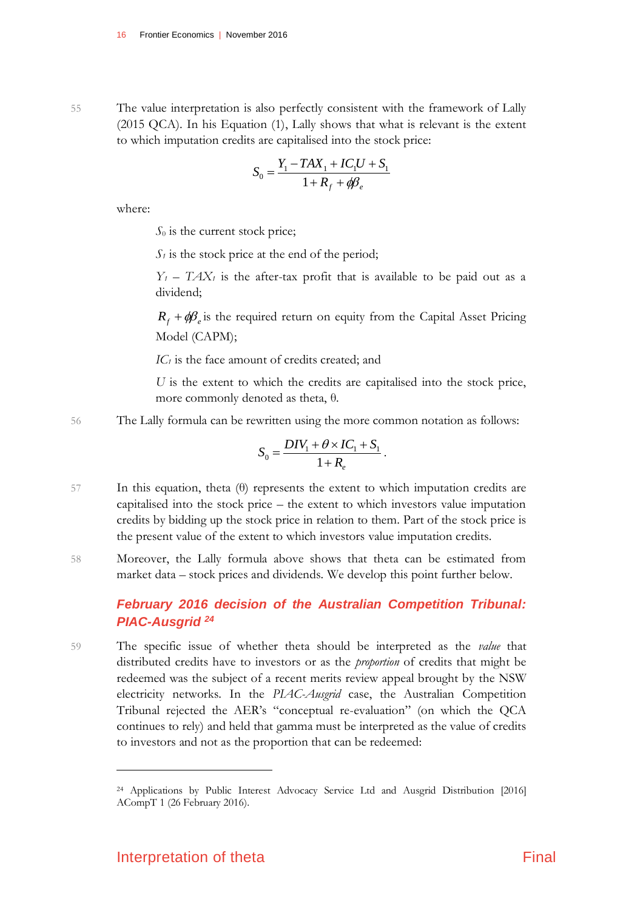55 The value interpretation is also perfectly consistent with the framework of Lally (2015 QCA). In his Equation (1), Lally shows that what is relevant is the extent to which imputation credits are capitalised into the stock price:

$$
S_0 = \frac{Y_1 - TAX_1 + IC_1U + S_1}{1 + R_f + \phi\beta_e}
$$

where:

*S*<sup>0</sup> is the current stock price;

 $S<sub>1</sub>$  is the stock price at the end of the period;

 $Y_1$  –  $TAX_1$  is the after-tax profit that is available to be paid out as a dividend;

 $R_f + \phi B_e$  is the required return on equity from the Capital Asset Pricing Model (CAPM);

*IC<sub>1</sub>* is the face amount of credits created; and

*U* is the extent to which the credits are capitalised into the stock price, more commonly denoted as theta, θ.

56 The Lally formula can be rewritten using the more common notation as follows:

$$
S_0 = \frac{DIV_1 + \theta \times IC_1 + S_1}{1 + R_e}.
$$

- 57 In this equation, theta (θ) represents the extent to which imputation credits are capitalised into the stock price – the extent to which investors value imputation credits by bidding up the stock price in relation to them. Part of the stock price is the present value of the extent to which investors value imputation credits.
- 58 Moreover, the Lally formula above shows that theta can be estimated from market data – stock prices and dividends. We develop this point further below.

### *February 2016 decision of the Australian Competition Tribunal: PIAC-Ausgrid <sup>24</sup>*

59 The specific issue of whether theta should be interpreted as the *value* that distributed credits have to investors or as the *proportion* of credits that might be redeemed was the subject of a recent merits review appeal brought by the NSW electricity networks. In the *PIAC-Ausgrid* case, the Australian Competition Tribunal rejected the AER's "conceptual re-evaluation" (on which the QCA continues to rely) and held that gamma must be interpreted as the value of credits to investors and not as the proportion that can be redeemed:

<sup>24</sup> Applications by Public Interest Advocacy Service Ltd and Ausgrid Distribution [2016] ACompT 1 (26 February 2016).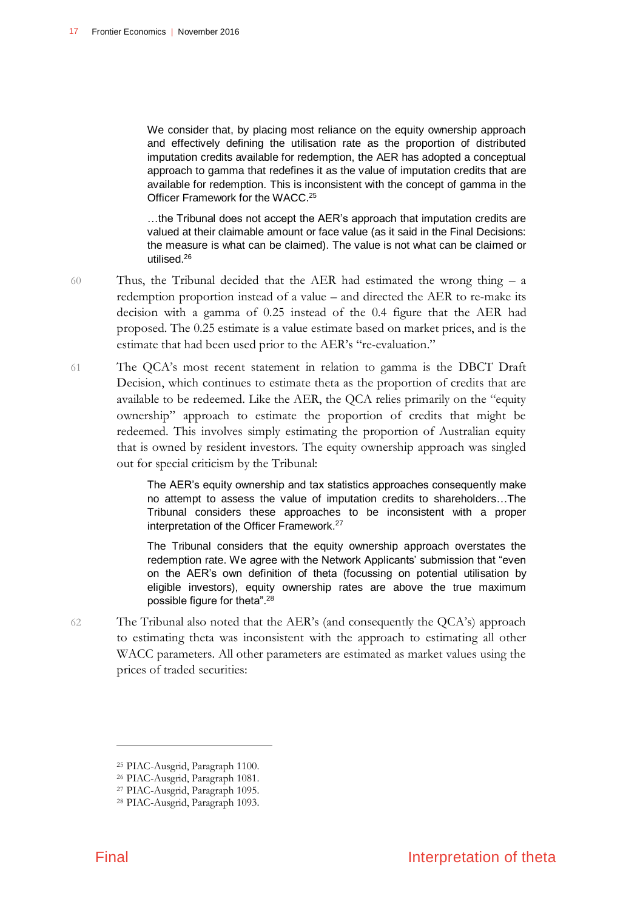We consider that, by placing most reliance on the equity ownership approach and effectively defining the utilisation rate as the proportion of distributed imputation credits available for redemption, the AER has adopted a conceptual approach to gamma that redefines it as the value of imputation credits that are available for redemption. This is inconsistent with the concept of gamma in the Officer Framework for the WACC. 25

…the Tribunal does not accept the AER's approach that imputation credits are valued at their claimable amount or face value (as it said in the Final Decisions: the measure is what can be claimed). The value is not what can be claimed or utilised.<sup>26</sup>

- 60 Thus, the Tribunal decided that the AER had estimated the wrong thing a redemption proportion instead of a value – and directed the AER to re-make its decision with a gamma of 0.25 instead of the 0.4 figure that the AER had proposed. The 0.25 estimate is a value estimate based on market prices, and is the estimate that had been used prior to the AER's "re-evaluation."
- 61 The QCA's most recent statement in relation to gamma is the DBCT Draft Decision, which continues to estimate theta as the proportion of credits that are available to be redeemed. Like the AER, the QCA relies primarily on the "equity ownership" approach to estimate the proportion of credits that might be redeemed. This involves simply estimating the proportion of Australian equity that is owned by resident investors. The equity ownership approach was singled out for special criticism by the Tribunal:

The AER's equity ownership and tax statistics approaches consequently make no attempt to assess the value of imputation credits to shareholders…The Tribunal considers these approaches to be inconsistent with a proper interpretation of the Officer Framework. 27

The Tribunal considers that the equity ownership approach overstates the redemption rate. We agree with the Network Applicants' submission that "even on the AER's own definition of theta (focussing on potential utilisation by eligible investors), equity ownership rates are above the true maximum possible figure for theta".<sup>28</sup>

62 The Tribunal also noted that the AER's (and consequently the QCA's) approach to estimating theta was inconsistent with the approach to estimating all other WACC parameters. All other parameters are estimated as market values using the prices of traded securities:

<sup>25</sup> PIAC-Ausgrid, Paragraph 1100.

<sup>26</sup> PIAC-Ausgrid, Paragraph 1081.

<sup>27</sup> PIAC-Ausgrid, Paragraph 1095.

<sup>28</sup> PIAC-Ausgrid, Paragraph 1093.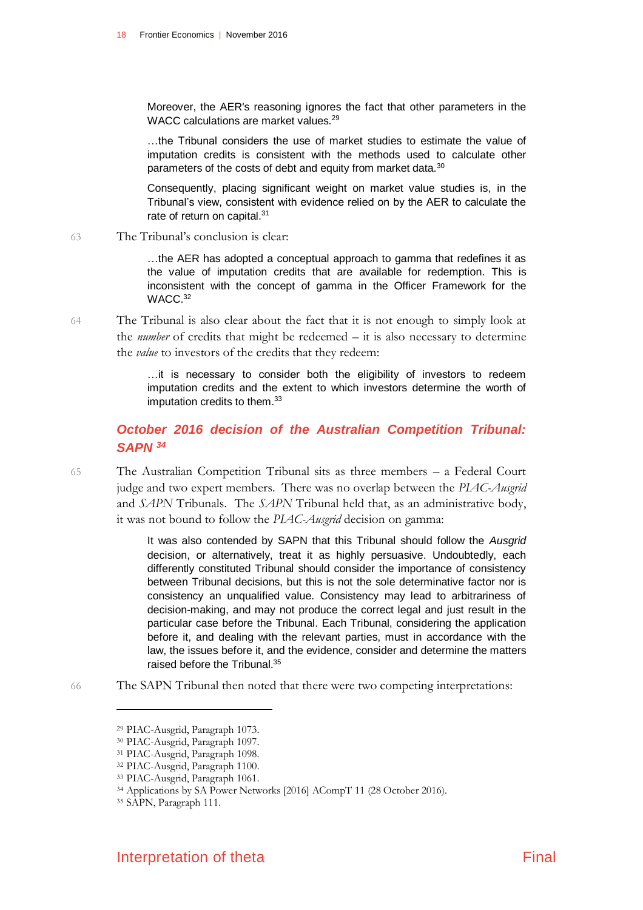Moreover, the AER's reasoning ignores the fact that other parameters in the WACC calculations are market values.<sup>29</sup>

…the Tribunal considers the use of market studies to estimate the value of imputation credits is consistent with the methods used to calculate other parameters of the costs of debt and equity from market data.<sup>30</sup>

Consequently, placing significant weight on market value studies is, in the Tribunal's view, consistent with evidence relied on by the AER to calculate the rate of return on capital.<sup>31</sup>

63 The Tribunal's conclusion is clear:

…the AER has adopted a conceptual approach to gamma that redefines it as the value of imputation credits that are available for redemption. This is inconsistent with the concept of gamma in the Officer Framework for the WACC. 32

64 The Tribunal is also clear about the fact that it is not enough to simply look at the *number* of credits that might be redeemed – it is also necessary to determine the *value* to investors of the credits that they redeem:

> …it is necessary to consider both the eligibility of investors to redeem imputation credits and the extent to which investors determine the worth of imputation credits to them.<sup>33</sup>

### *October 2016 decision of the Australian Competition Tribunal: SAPN <sup>34</sup>*

65 The Australian Competition Tribunal sits as three members – a Federal Court judge and two expert members. There was no overlap between the *PIAC-Ausgrid* and *SAPN* Tribunals. The *SAPN* Tribunal held that, as an administrative body, it was not bound to follow the *PIAC-Ausgrid* decision on gamma:

> It was also contended by SAPN that this Tribunal should follow the *Ausgrid*  decision, or alternatively, treat it as highly persuasive. Undoubtedly, each differently constituted Tribunal should consider the importance of consistency between Tribunal decisions, but this is not the sole determinative factor nor is consistency an unqualified value. Consistency may lead to arbitrariness of decision-making, and may not produce the correct legal and just result in the particular case before the Tribunal. Each Tribunal, considering the application before it, and dealing with the relevant parties, must in accordance with the law, the issues before it, and the evidence, consider and determine the matters raised before the Tribunal.<sup>35</sup>

66 The SAPN Tribunal then noted that there were two competing interpretations:



<sup>29</sup> PIAC-Ausgrid, Paragraph 1073.

<sup>30</sup> PIAC-Ausgrid, Paragraph 1097.

<sup>31</sup> PIAC-Ausgrid, Paragraph 1098.

<sup>32</sup> PIAC-Ausgrid, Paragraph 1100.

<sup>33</sup> PIAC-Ausgrid, Paragraph 1061.

<sup>34</sup> Applications by SA Power Networks [2016] ACompT 11 (28 October 2016).

<sup>35</sup> SAPN, Paragraph 111.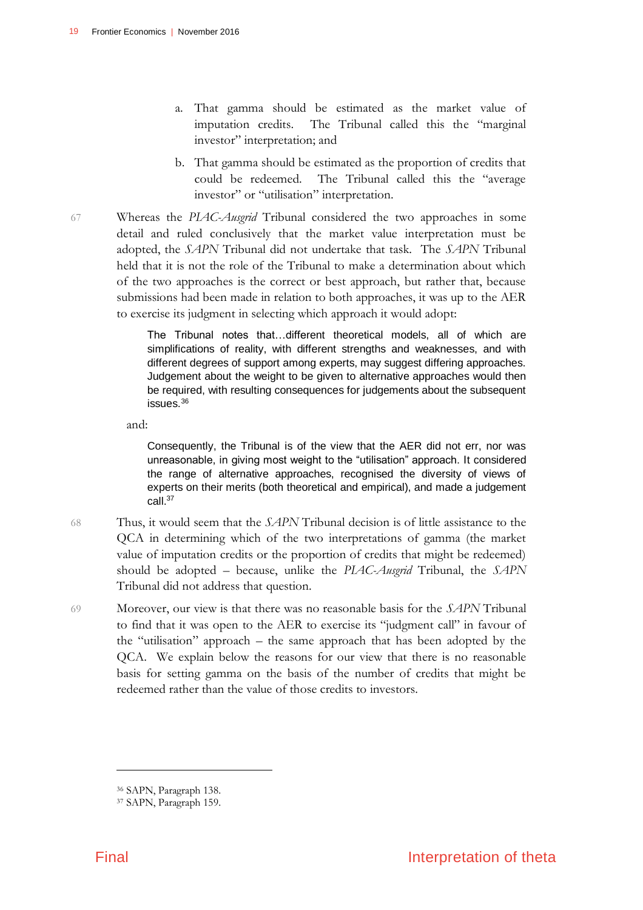- a. That gamma should be estimated as the market value of imputation credits. The Tribunal called this the "marginal investor" interpretation; and
- b. That gamma should be estimated as the proportion of credits that could be redeemed. The Tribunal called this the "average investor" or "utilisation" interpretation.
- 67 Whereas the *PIAC-Ausgrid* Tribunal considered the two approaches in some detail and ruled conclusively that the market value interpretation must be adopted, the *SAPN* Tribunal did not undertake that task. The *SAPN* Tribunal held that it is not the role of the Tribunal to make a determination about which of the two approaches is the correct or best approach, but rather that, because submissions had been made in relation to both approaches, it was up to the AER to exercise its judgment in selecting which approach it would adopt:

The Tribunal notes that…different theoretical models, all of which are simplifications of reality, with different strengths and weaknesses, and with different degrees of support among experts, may suggest differing approaches. Judgement about the weight to be given to alternative approaches would then be required, with resulting consequences for judgements about the subsequent issues.<sup>36</sup>

and:

Consequently, the Tribunal is of the view that the AER did not err, nor was unreasonable, in giving most weight to the "utilisation" approach. It considered the range of alternative approaches, recognised the diversity of views of experts on their merits (both theoretical and empirical), and made a judgement call.<sup>37</sup>

- 68 Thus, it would seem that the *SAPN* Tribunal decision is of little assistance to the QCA in determining which of the two interpretations of gamma (the market value of imputation credits or the proportion of credits that might be redeemed) should be adopted – because, unlike the *PIAC-Ausgrid* Tribunal, the *SAPN* Tribunal did not address that question.
- 69 Moreover, our view is that there was no reasonable basis for the *SAPN* Tribunal to find that it was open to the AER to exercise its "judgment call" in favour of the "utilisation" approach – the same approach that has been adopted by the QCA. We explain below the reasons for our view that there is no reasonable basis for setting gamma on the basis of the number of credits that might be redeemed rather than the value of those credits to investors.

<sup>36</sup> SAPN, Paragraph 138.

<sup>37</sup> SAPN, Paragraph 159.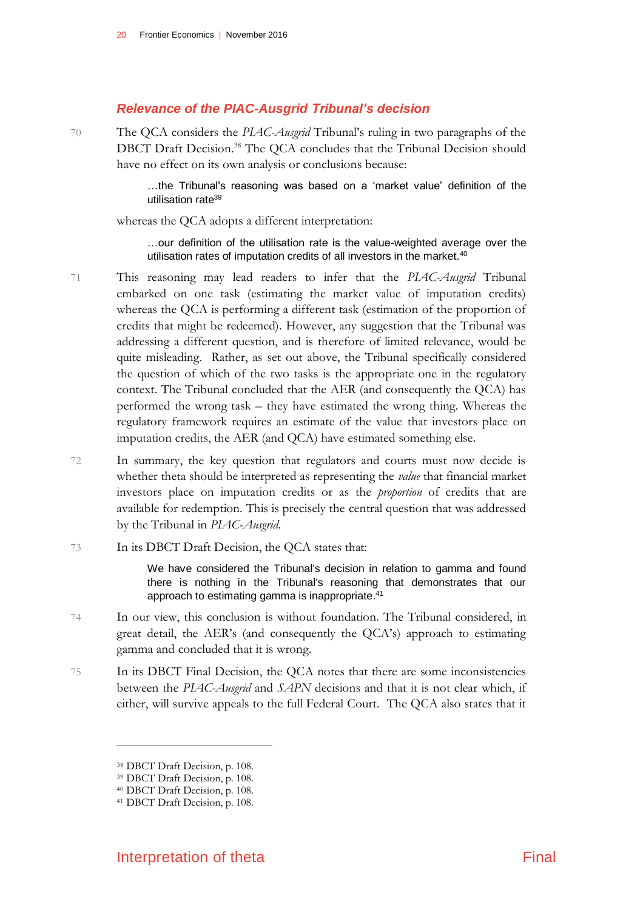#### *Relevance of the PIAC-Ausgrid Tribunal's decision*

70 The QCA considers the *PIAC-Ausgrid* Tribunal's ruling in two paragraphs of the DBCT Draft Decision.<sup>38</sup> The QCA concludes that the Tribunal Decision should have no effect on its own analysis or conclusions because:

> …the Tribunal's reasoning was based on a 'market value' definition of the utilisation rate<sup>39</sup>

whereas the QCA adopts a different interpretation:

…our definition of the utilisation rate is the value-weighted average over the utilisation rates of imputation credits of all investors in the market.<sup>40</sup>

- 71 This reasoning may lead readers to infer that the *PIAC-Ausgrid* Tribunal embarked on one task (estimating the market value of imputation credits) whereas the QCA is performing a different task (estimation of the proportion of credits that might be redeemed). However, any suggestion that the Tribunal was addressing a different question, and is therefore of limited relevance, would be quite misleading. Rather, as set out above, the Tribunal specifically considered the question of which of the two tasks is the appropriate one in the regulatory context. The Tribunal concluded that the AER (and consequently the QCA) has performed the wrong task – they have estimated the wrong thing. Whereas the regulatory framework requires an estimate of the value that investors place on imputation credits, the AER (and QCA) have estimated something else.
- 72 In summary, the key question that regulators and courts must now decide is whether theta should be interpreted as representing the *value* that financial market investors place on imputation credits or as the *proportion* of credits that are available for redemption. This is precisely the central question that was addressed by the Tribunal in *PIAC-Ausgrid*.
- 73 In its DBCT Draft Decision, the QCA states that:

We have considered the Tribunal's decision in relation to gamma and found there is nothing in the Tribunal's reasoning that demonstrates that our approach to estimating gamma is inappropriate.<sup>41</sup>

- 74 In our view, this conclusion is without foundation. The Tribunal considered, in great detail, the AER's (and consequently the QCA's) approach to estimating gamma and concluded that it is wrong.
- 75 In its DBCT Final Decision, the QCA notes that there are some inconsistencies between the *PIAC-Ausgrid* and *SAPN* decisions and that it is not clear which, if either, will survive appeals to the full Federal Court. The QCA also states that it

<sup>38</sup> DBCT Draft Decision, p. 108.

<sup>39</sup> DBCT Draft Decision, p. 108.

<sup>40</sup> DBCT Draft Decision, p. 108.

<sup>41</sup> DBCT Draft Decision, p. 108.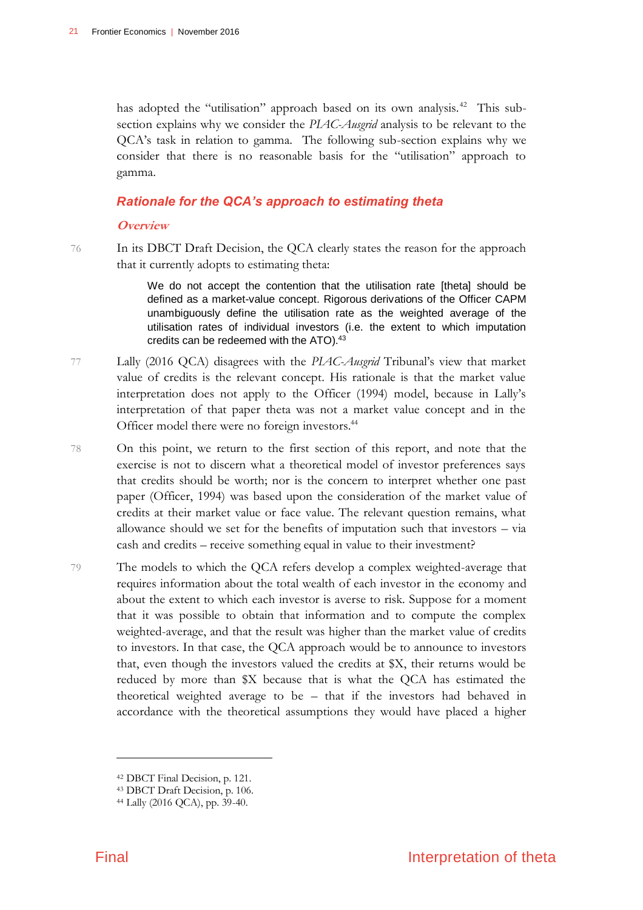has adopted the "utilisation" approach based on its own analysis.<sup>42</sup> This subsection explains why we consider the *PIAC-Ausgrid* analysis to be relevant to the QCA's task in relation to gamma. The following sub-section explains why we consider that there is no reasonable basis for the "utilisation" approach to gamma.

#### *Rationale for the QCA's approach to estimating theta*

#### **Overview**

76 In its DBCT Draft Decision, the QCA clearly states the reason for the approach that it currently adopts to estimating theta:

> We do not accept the contention that the utilisation rate [theta] should be defined as a market-value concept. Rigorous derivations of the Officer CAPM unambiguously define the utilisation rate as the weighted average of the utilisation rates of individual investors (i.e. the extent to which imputation credits can be redeemed with the ATO).<sup>43</sup>

- 77 Lally (2016 QCA) disagrees with the *PIAC-Ausgrid* Tribunal's view that market value of credits is the relevant concept. His rationale is that the market value interpretation does not apply to the Officer (1994) model, because in Lally's interpretation of that paper theta was not a market value concept and in the Officer model there were no foreign investors.<sup>44</sup>
- 78 On this point, we return to the first section of this report, and note that the exercise is not to discern what a theoretical model of investor preferences says that credits should be worth; nor is the concern to interpret whether one past paper (Officer, 1994) was based upon the consideration of the market value of credits at their market value or face value. The relevant question remains, what allowance should we set for the benefits of imputation such that investors – via cash and credits – receive something equal in value to their investment?
- 79 The models to which the QCA refers develop a complex weighted-average that requires information about the total wealth of each investor in the economy and about the extent to which each investor is averse to risk. Suppose for a moment that it was possible to obtain that information and to compute the complex weighted-average, and that the result was higher than the market value of credits to investors. In that case, the QCA approach would be to announce to investors that, even though the investors valued the credits at \$X, their returns would be reduced by more than \$X because that is what the QCA has estimated the theoretical weighted average to be – that if the investors had behaved in accordance with the theoretical assumptions they would have placed a higher

<sup>42</sup> DBCT Final Decision, p. 121.

<sup>43</sup> DBCT Draft Decision, p. 106.

<sup>44</sup> Lally (2016 QCA), pp. 39-40.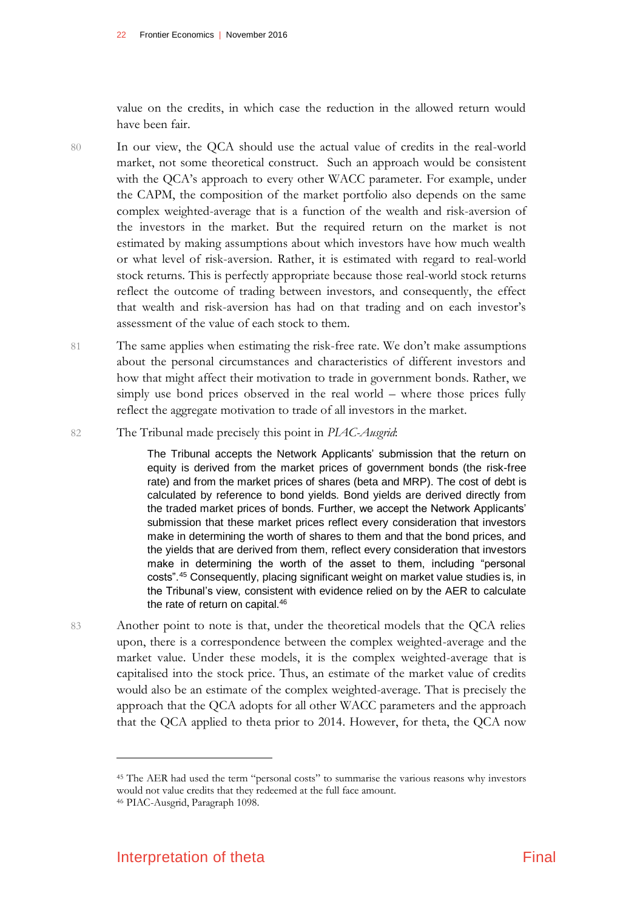value on the credits, in which case the reduction in the allowed return would have been fair.

- 80 In our view, the QCA should use the actual value of credits in the real-world market, not some theoretical construct. Such an approach would be consistent with the QCA's approach to every other WACC parameter. For example, under the CAPM, the composition of the market portfolio also depends on the same complex weighted-average that is a function of the wealth and risk-aversion of the investors in the market. But the required return on the market is not estimated by making assumptions about which investors have how much wealth or what level of risk-aversion. Rather, it is estimated with regard to real-world stock returns. This is perfectly appropriate because those real-world stock returns reflect the outcome of trading between investors, and consequently, the effect that wealth and risk-aversion has had on that trading and on each investor's assessment of the value of each stock to them.
- 81 The same applies when estimating the risk-free rate. We don't make assumptions about the personal circumstances and characteristics of different investors and how that might affect their motivation to trade in government bonds. Rather, we simply use bond prices observed in the real world – where those prices fully reflect the aggregate motivation to trade of all investors in the market.
- 82 The Tribunal made precisely this point in *PIAC-Ausgrid*:

The Tribunal accepts the Network Applicants' submission that the return on equity is derived from the market prices of government bonds (the risk-free rate) and from the market prices of shares (beta and MRP). The cost of debt is calculated by reference to bond yields. Bond yields are derived directly from the traded market prices of bonds. Further, we accept the Network Applicants' submission that these market prices reflect every consideration that investors make in determining the worth of shares to them and that the bond prices, and the yields that are derived from them, reflect every consideration that investors make in determining the worth of the asset to them, including "personal costs".<sup>45</sup> Consequently, placing significant weight on market value studies is, in the Tribunal's view, consistent with evidence relied on by the AER to calculate the rate of return on capital.<sup>46</sup>

83 Another point to note is that, under the theoretical models that the QCA relies upon, there is a correspondence between the complex weighted-average and the market value. Under these models, it is the complex weighted-average that is capitalised into the stock price. Thus, an estimate of the market value of credits would also be an estimate of the complex weighted-average. That is precisely the approach that the QCA adopts for all other WACC parameters and the approach that the QCA applied to theta prior to 2014. However, for theta, the QCA now

<sup>45</sup> The AER had used the term "personal costs" to summarise the various reasons why investors would not value credits that they redeemed at the full face amount. <sup>46</sup> PIAC-Ausgrid, Paragraph 1098.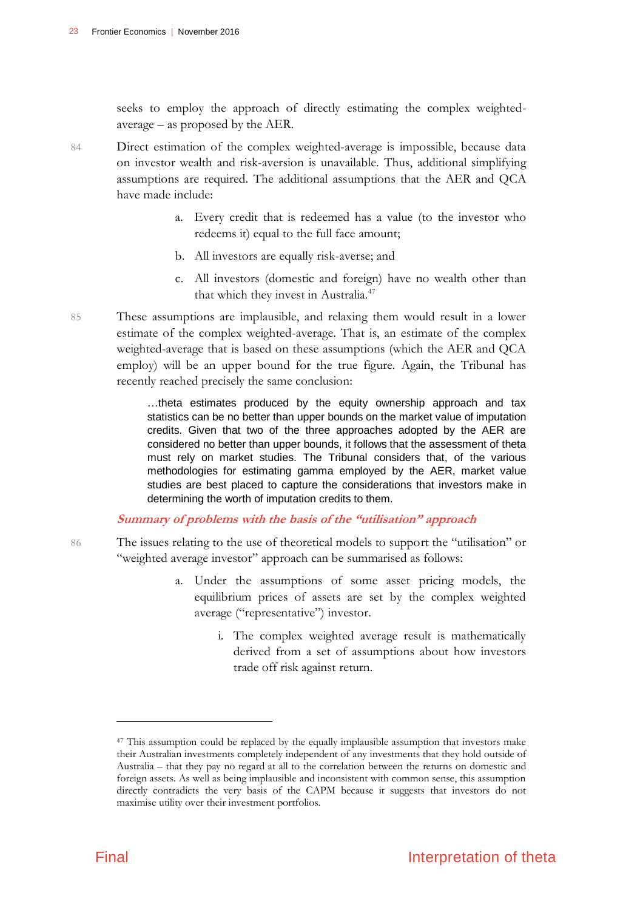seeks to employ the approach of directly estimating the complex weightedaverage – as proposed by the AER.

- 84 Direct estimation of the complex weighted-average is impossible, because data on investor wealth and risk-aversion is unavailable. Thus, additional simplifying assumptions are required. The additional assumptions that the AER and QCA have made include:
	- a. Every credit that is redeemed has a value (to the investor who redeems it) equal to the full face amount;
	- b. All investors are equally risk-averse; and
	- c. All investors (domestic and foreign) have no wealth other than that which they invest in Australia.<sup>47</sup>
- 85 These assumptions are implausible, and relaxing them would result in a lower estimate of the complex weighted-average. That is, an estimate of the complex weighted-average that is based on these assumptions (which the AER and QCA employ) will be an upper bound for the true figure. Again, the Tribunal has recently reached precisely the same conclusion:

…theta estimates produced by the equity ownership approach and tax statistics can be no better than upper bounds on the market value of imputation credits. Given that two of the three approaches adopted by the AER are considered no better than upper bounds, it follows that the assessment of theta must rely on market studies. The Tribunal considers that, of the various methodologies for estimating gamma employed by the AER, market value studies are best placed to capture the considerations that investors make in determining the worth of imputation credits to them.

#### **Summary of problems with the basis of the "utilisation" approach**

- 86 The issues relating to the use of theoretical models to support the "utilisation" or "weighted average investor" approach can be summarised as follows:
	- a. Under the assumptions of some asset pricing models, the equilibrium prices of assets are set by the complex weighted average ("representative") investor.
		- i. The complex weighted average result is mathematically derived from a set of assumptions about how investors trade off risk against return.

<sup>&</sup>lt;sup>47</sup> This assumption could be replaced by the equally implausible assumption that investors make their Australian investments completely independent of any investments that they hold outside of Australia – that they pay no regard at all to the correlation between the returns on domestic and foreign assets. As well as being implausible and inconsistent with common sense, this assumption directly contradicts the very basis of the CAPM because it suggests that investors do not maximise utility over their investment portfolios.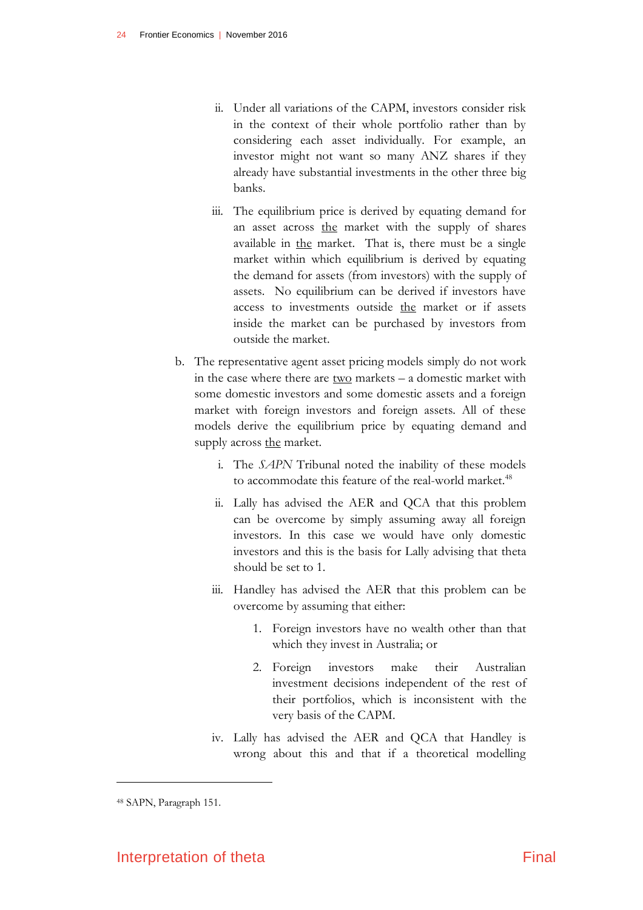- ii. Under all variations of the CAPM, investors consider risk in the context of their whole portfolio rather than by considering each asset individually. For example, an investor might not want so many ANZ shares if they already have substantial investments in the other three big banks.
- iii. The equilibrium price is derived by equating demand for an asset across the market with the supply of shares available in the market. That is, there must be a single market within which equilibrium is derived by equating the demand for assets (from investors) with the supply of assets. No equilibrium can be derived if investors have access to investments outside the market or if assets inside the market can be purchased by investors from outside the market.
- b. The representative agent asset pricing models simply do not work in the case where there are two markets – a domestic market with some domestic investors and some domestic assets and a foreign market with foreign investors and foreign assets. All of these models derive the equilibrium price by equating demand and supply across the market.
	- i. The *SAPN* Tribunal noted the inability of these models to accommodate this feature of the real-world market.<sup>48</sup>
	- ii. Lally has advised the AER and QCA that this problem can be overcome by simply assuming away all foreign investors. In this case we would have only domestic investors and this is the basis for Lally advising that theta should be set to 1.
	- iii. Handley has advised the AER that this problem can be overcome by assuming that either:
		- 1. Foreign investors have no wealth other than that which they invest in Australia; or
		- 2. Foreign investors make their Australian investment decisions independent of the rest of their portfolios, which is inconsistent with the very basis of the CAPM.
	- iv. Lally has advised the AER and QCA that Handley is wrong about this and that if a theoretical modelling

<sup>48</sup> SAPN, Paragraph 151.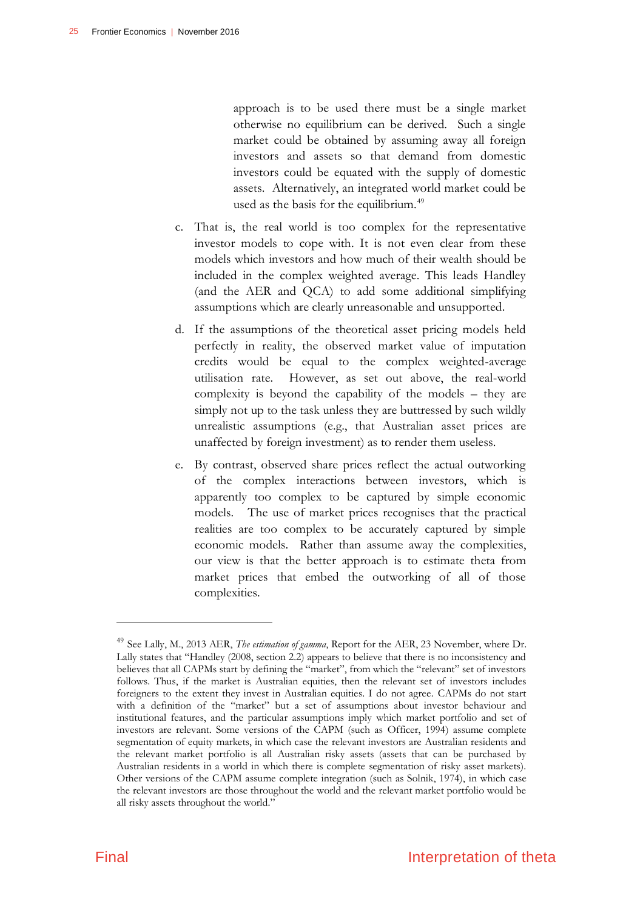approach is to be used there must be a single market otherwise no equilibrium can be derived. Such a single market could be obtained by assuming away all foreign investors and assets so that demand from domestic investors could be equated with the supply of domestic assets. Alternatively, an integrated world market could be used as the basis for the equilibrium.<sup>49</sup>

- c. That is, the real world is too complex for the representative investor models to cope with. It is not even clear from these models which investors and how much of their wealth should be included in the complex weighted average. This leads Handley (and the AER and QCA) to add some additional simplifying assumptions which are clearly unreasonable and unsupported.
- d. If the assumptions of the theoretical asset pricing models held perfectly in reality, the observed market value of imputation credits would be equal to the complex weighted-average utilisation rate. However, as set out above, the real-world complexity is beyond the capability of the models – they are simply not up to the task unless they are buttressed by such wildly unrealistic assumptions (e.g., that Australian asset prices are unaffected by foreign investment) as to render them useless.
- e. By contrast, observed share prices reflect the actual outworking of the complex interactions between investors, which is apparently too complex to be captured by simple economic models. The use of market prices recognises that the practical realities are too complex to be accurately captured by simple economic models. Rather than assume away the complexities, our view is that the better approach is to estimate theta from market prices that embed the outworking of all of those complexities.

<sup>49</sup> See Lally, M., 2013 AER, *The estimation of gamma*, Report for the AER, 23 November, where Dr. Lally states that "Handley (2008, section 2.2) appears to believe that there is no inconsistency and believes that all CAPMs start by defining the "market", from which the "relevant" set of investors follows. Thus, if the market is Australian equities, then the relevant set of investors includes foreigners to the extent they invest in Australian equities. I do not agree. CAPMs do not start with a definition of the "market" but a set of assumptions about investor behaviour and institutional features, and the particular assumptions imply which market portfolio and set of investors are relevant. Some versions of the CAPM (such as Officer, 1994) assume complete segmentation of equity markets, in which case the relevant investors are Australian residents and the relevant market portfolio is all Australian risky assets (assets that can be purchased by Australian residents in a world in which there is complete segmentation of risky asset markets). Other versions of the CAPM assume complete integration (such as Solnik, 1974), in which case the relevant investors are those throughout the world and the relevant market portfolio would be all risky assets throughout the world."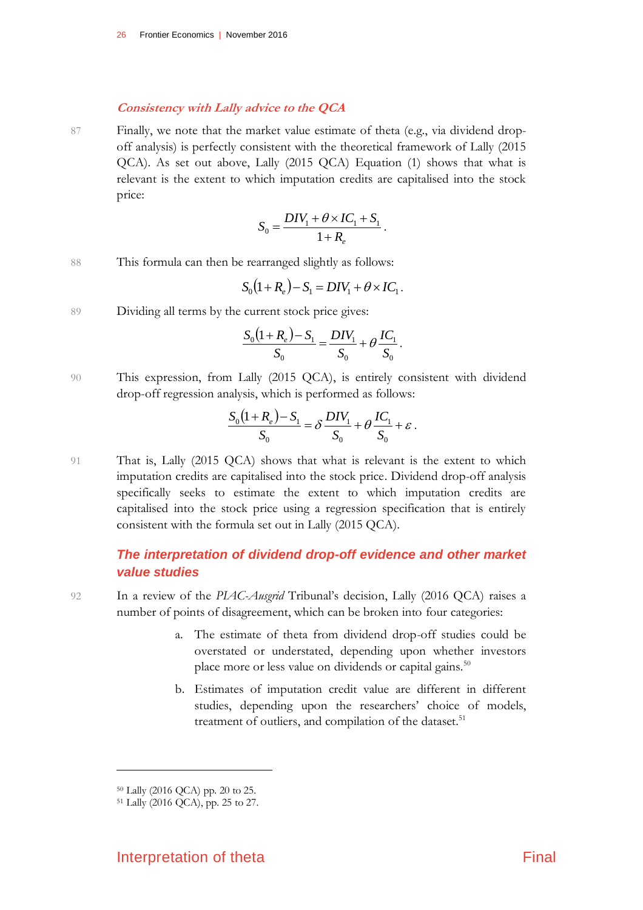#### **Consistency with Lally advice to the QCA**

87 Finally, we note that the market value estimate of theta (e.g., via dividend dropoff analysis) is perfectly consistent with the theoretical framework of Lally (2015 QCA). As set out above, Lally (2015 QCA) Equation (1) shows that what is relevant is the extent to which imputation credits are capitalised into the stock price:

$$
S_0 = \frac{DIV_1 + \theta \times IC_1 + S_1}{1 + R_e}.
$$

88 This formula can then be rearranged slightly as follows:

$$
S_0(1 + R_e) - S_1 = DIV_1 + \theta \times IC_1.
$$

89 Dividing all terms by the current stock price gives:

$$
\frac{S_0(1+R_e)-S_1}{S_0} = \frac{DIV_1}{S_0} + \theta \frac{IC_1}{S_0}.
$$

90 This expression, from Lally (2015 QCA), is entirely consistent with dividend drop-off regression analysis, which is performed as follows:

$$
\frac{S_0(1+R_e)-S_1}{S_0} = \delta \frac{DIV_1}{S_0} + \theta \frac{IC_1}{S_0} + \varepsilon.
$$

91 That is, Lally (2015 QCA) shows that what is relevant is the extent to which imputation credits are capitalised into the stock price. Dividend drop-off analysis specifically seeks to estimate the extent to which imputation credits are capitalised into the stock price using a regression specification that is entirely consistent with the formula set out in Lally (2015 QCA).

## *The interpretation of dividend drop-off evidence and other market value studies*

92 In a review of the *PIAC-Ausgrid* Tribunal's decision, Lally (2016 QCA) raises a number of points of disagreement, which can be broken into four categories:

- a. The estimate of theta from dividend drop-off studies could be overstated or understated, depending upon whether investors place more or less value on dividends or capital gains.<sup>50</sup>
- b. Estimates of imputation credit value are different in different studies, depending upon the researchers' choice of models, treatment of outliers, and compilation of the dataset.<sup>51</sup>

<sup>50</sup> Lally (2016 QCA) pp. 20 to 25.

<sup>51</sup> Lally (2016 QCA), pp. 25 to 27.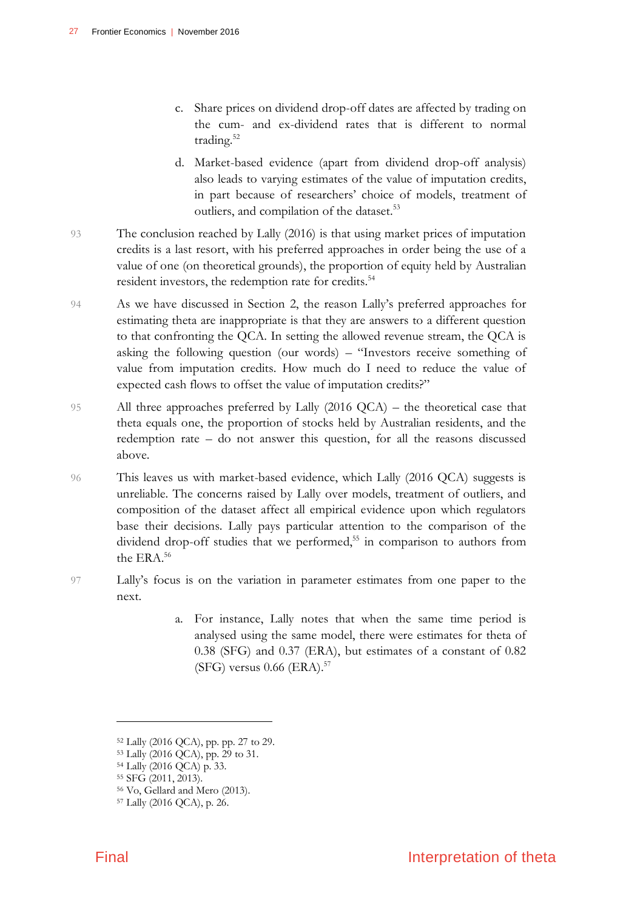- c. Share prices on dividend drop-off dates are affected by trading on the cum- and ex-dividend rates that is different to normal trading.<sup>52</sup>
- d. Market-based evidence (apart from dividend drop-off analysis) also leads to varying estimates of the value of imputation credits, in part because of researchers' choice of models, treatment of outliers, and compilation of the dataset.<sup>53</sup>
- 93 The conclusion reached by Lally (2016) is that using market prices of imputation credits is a last resort, with his preferred approaches in order being the use of a value of one (on theoretical grounds), the proportion of equity held by Australian resident investors, the redemption rate for credits.<sup>54</sup>
- 94 As we have discussed in Section 2, the reason Lally's preferred approaches for estimating theta are inappropriate is that they are answers to a different question to that confronting the QCA. In setting the allowed revenue stream, the QCA is asking the following question (our words) – "Investors receive something of value from imputation credits. How much do I need to reduce the value of expected cash flows to offset the value of imputation credits?"
- 95 All three approaches preferred by Lally (2016 QCA) the theoretical case that theta equals one, the proportion of stocks held by Australian residents, and the redemption rate – do not answer this question, for all the reasons discussed above.
- 96 This leaves us with market-based evidence, which Lally (2016 QCA) suggests is unreliable. The concerns raised by Lally over models, treatment of outliers, and composition of the dataset affect all empirical evidence upon which regulators base their decisions. Lally pays particular attention to the comparison of the dividend drop-off studies that we performed,<sup>55</sup> in comparison to authors from the ERA.<sup>56</sup>
- 97 Lally's focus is on the variation in parameter estimates from one paper to the next.
	- a. For instance, Lally notes that when the same time period is analysed using the same model, there were estimates for theta of 0.38 (SFG) and 0.37 (ERA), but estimates of a constant of 0.82  $(SFG)$  versus 0.66  $(ERA).$ <sup>57</sup>

<sup>52</sup> Lally (2016 QCA), pp. pp. 27 to 29.

<sup>53</sup> Lally (2016 QCA), pp. 29 to 31.

<sup>54</sup> Lally (2016 QCA) p. 33.

<sup>55</sup> SFG (2011, 2013).

<sup>56</sup> Vo, Gellard and Mero (2013).

<sup>57</sup> Lally (2016 QCA), p. 26.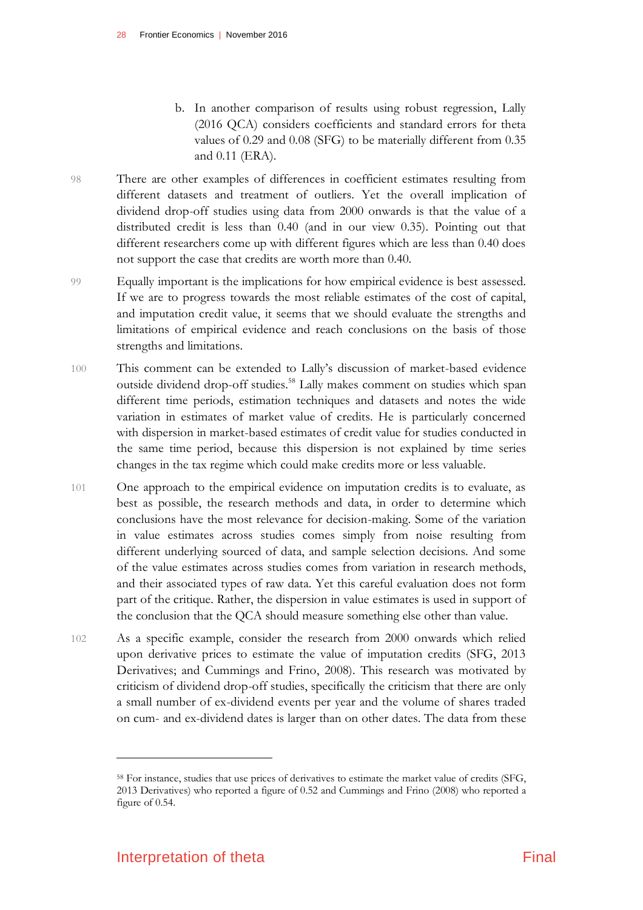- b. In another comparison of results using robust regression, Lally (2016 QCA) considers coefficients and standard errors for theta values of 0.29 and 0.08 (SFG) to be materially different from 0.35 and 0.11 (ERA).
- 98 There are other examples of differences in coefficient estimates resulting from different datasets and treatment of outliers. Yet the overall implication of dividend drop-off studies using data from 2000 onwards is that the value of a distributed credit is less than 0.40 (and in our view 0.35). Pointing out that different researchers come up with different figures which are less than 0.40 does not support the case that credits are worth more than 0.40.
- 99 Equally important is the implications for how empirical evidence is best assessed. If we are to progress towards the most reliable estimates of the cost of capital, and imputation credit value, it seems that we should evaluate the strengths and limitations of empirical evidence and reach conclusions on the basis of those strengths and limitations.
- 100 This comment can be extended to Lally's discussion of market-based evidence outside dividend drop-off studies.<sup>58</sup> Lally makes comment on studies which span different time periods, estimation techniques and datasets and notes the wide variation in estimates of market value of credits. He is particularly concerned with dispersion in market-based estimates of credit value for studies conducted in the same time period, because this dispersion is not explained by time series changes in the tax regime which could make credits more or less valuable.
- 101 One approach to the empirical evidence on imputation credits is to evaluate, as best as possible, the research methods and data, in order to determine which conclusions have the most relevance for decision-making. Some of the variation in value estimates across studies comes simply from noise resulting from different underlying sourced of data, and sample selection decisions. And some of the value estimates across studies comes from variation in research methods, and their associated types of raw data. Yet this careful evaluation does not form part of the critique. Rather, the dispersion in value estimates is used in support of the conclusion that the QCA should measure something else other than value.
- 102 As a specific example, consider the research from 2000 onwards which relied upon derivative prices to estimate the value of imputation credits (SFG, 2013 Derivatives; and Cummings and Frino, 2008). This research was motivated by criticism of dividend drop-off studies, specifically the criticism that there are only a small number of ex-dividend events per year and the volume of shares traded on cum- and ex-dividend dates is larger than on other dates. The data from these

<sup>58</sup> For instance, studies that use prices of derivatives to estimate the market value of credits (SFG, 2013 Derivatives) who reported a figure of 0.52 and Cummings and Frino (2008) who reported a figure of 0.54.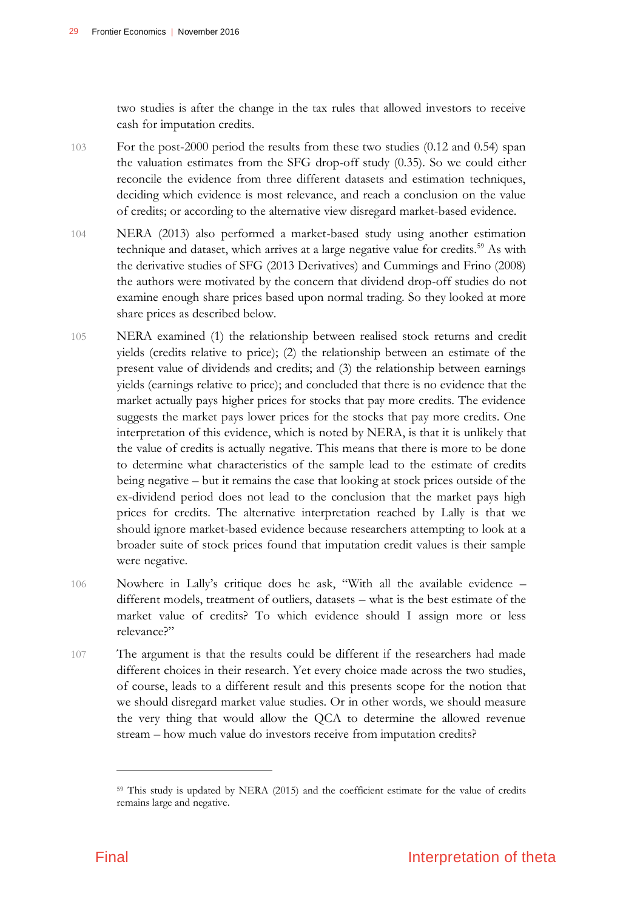two studies is after the change in the tax rules that allowed investors to receive cash for imputation credits.

- 103 For the post-2000 period the results from these two studies (0.12 and 0.54) span the valuation estimates from the SFG drop-off study (0.35). So we could either reconcile the evidence from three different datasets and estimation techniques, deciding which evidence is most relevance, and reach a conclusion on the value of credits; or according to the alternative view disregard market-based evidence.
- 104 NERA (2013) also performed a market-based study using another estimation technique and dataset, which arrives at a large negative value for credits.<sup>59</sup> As with the derivative studies of SFG (2013 Derivatives) and Cummings and Frino (2008) the authors were motivated by the concern that dividend drop-off studies do not examine enough share prices based upon normal trading. So they looked at more share prices as described below.
- 105 NERA examined (1) the relationship between realised stock returns and credit yields (credits relative to price); (2) the relationship between an estimate of the present value of dividends and credits; and (3) the relationship between earnings yields (earnings relative to price); and concluded that there is no evidence that the market actually pays higher prices for stocks that pay more credits. The evidence suggests the market pays lower prices for the stocks that pay more credits. One interpretation of this evidence, which is noted by NERA, is that it is unlikely that the value of credits is actually negative. This means that there is more to be done to determine what characteristics of the sample lead to the estimate of credits being negative – but it remains the case that looking at stock prices outside of the ex-dividend period does not lead to the conclusion that the market pays high prices for credits. The alternative interpretation reached by Lally is that we should ignore market-based evidence because researchers attempting to look at a broader suite of stock prices found that imputation credit values is their sample were negative.
- 106 Nowhere in Lally's critique does he ask, "With all the available evidence different models, treatment of outliers, datasets – what is the best estimate of the market value of credits? To which evidence should I assign more or less relevance?"
- 107 The argument is that the results could be different if the researchers had made different choices in their research. Yet every choice made across the two studies, of course, leads to a different result and this presents scope for the notion that we should disregard market value studies. Or in other words, we should measure the very thing that would allow the QCA to determine the allowed revenue stream – how much value do investors receive from imputation credits?

<sup>59</sup> This study is updated by NERA (2015) and the coefficient estimate for the value of credits remains large and negative.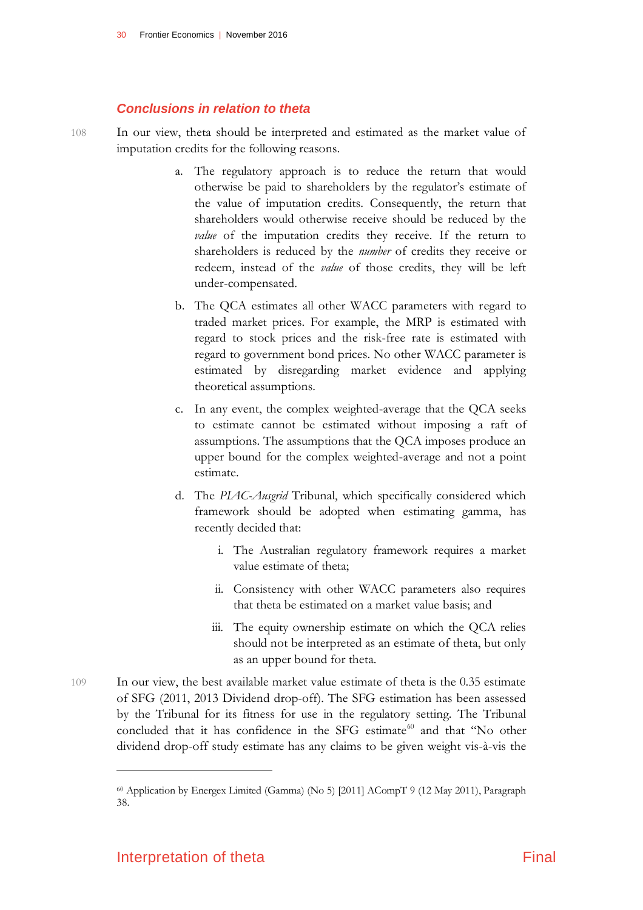#### *Conclusions in relation to theta*

108 In our view, theta should be interpreted and estimated as the market value of imputation credits for the following reasons.

- a. The regulatory approach is to reduce the return that would otherwise be paid to shareholders by the regulator's estimate of the value of imputation credits. Consequently, the return that shareholders would otherwise receive should be reduced by the *value* of the imputation credits they receive. If the return to shareholders is reduced by the *number* of credits they receive or redeem, instead of the *value* of those credits, they will be left under-compensated.
- b. The QCA estimates all other WACC parameters with regard to traded market prices. For example, the MRP is estimated with regard to stock prices and the risk-free rate is estimated with regard to government bond prices. No other WACC parameter is estimated by disregarding market evidence and applying theoretical assumptions.
- c. In any event, the complex weighted-average that the QCA seeks to estimate cannot be estimated without imposing a raft of assumptions. The assumptions that the QCA imposes produce an upper bound for the complex weighted-average and not a point estimate.
- d. The *PIAC-Ausgrid* Tribunal, which specifically considered which framework should be adopted when estimating gamma, has recently decided that:
	- i. The Australian regulatory framework requires a market value estimate of theta;
	- ii. Consistency with other WACC parameters also requires that theta be estimated on a market value basis; and
	- iii. The equity ownership estimate on which the QCA relies should not be interpreted as an estimate of theta, but only as an upper bound for theta.
- 109 In our view, the best available market value estimate of theta is the 0.35 estimate of SFG (2011, 2013 Dividend drop-off). The SFG estimation has been assessed by the Tribunal for its fitness for use in the regulatory setting. The Tribunal concluded that it has confidence in the SFG estimate<sup>60</sup> and that "No other dividend drop-off study estimate has any claims to be given weight vis-à-vis the

<sup>60</sup> Application by Energex Limited (Gamma) (No 5) [2011] ACompT 9 (12 May 2011), Paragraph 38.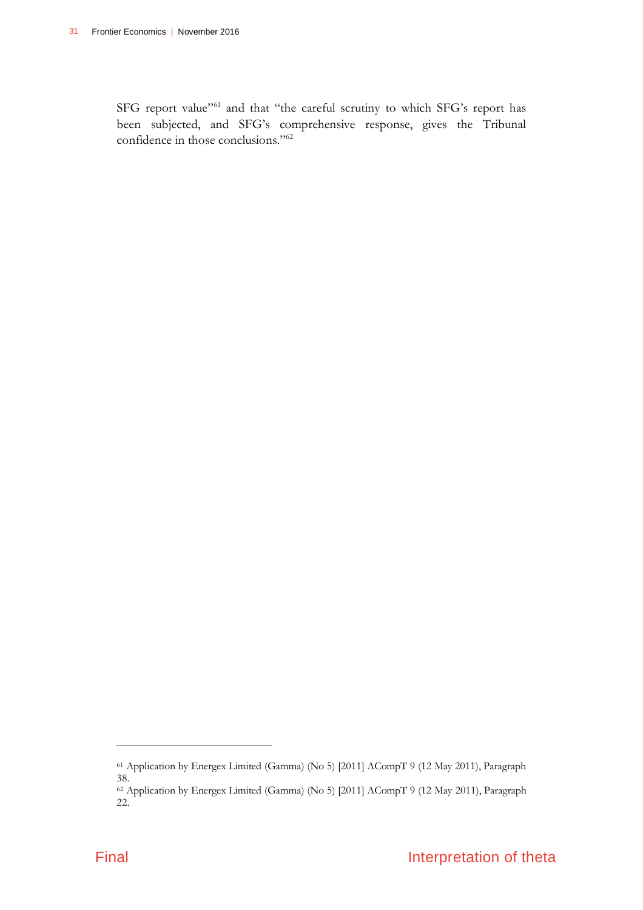SFG report value"<sup>61</sup> and that "the careful scrutiny to which SFG's report has been subjected, and SFG's comprehensive response, gives the Tribunal confidence in those conclusions."<sup>62</sup>

<sup>61</sup> Application by Energex Limited (Gamma) (No 5) [2011] ACompT 9 (12 May 2011), Paragraph 38.

<sup>62</sup> Application by Energex Limited (Gamma) (No 5) [2011] ACompT 9 (12 May 2011), Paragraph 22.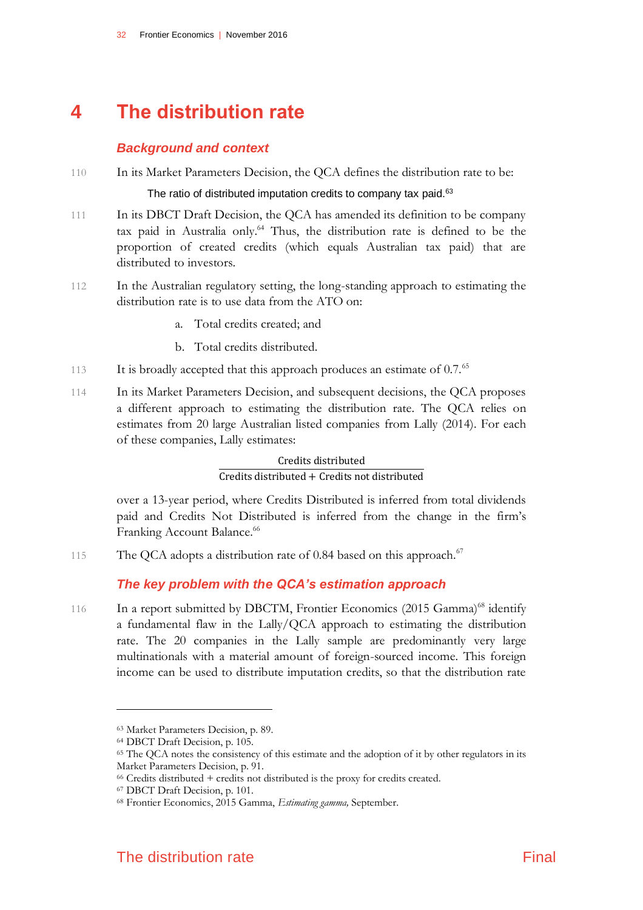# **4 The distribution rate**

### <span id="page-35-0"></span>*Background and context*

110 In its Market Parameters Decision, the QCA defines the distribution rate to be:

#### The ratio of distributed imputation credits to company tax paid.<sup>63</sup>

- 111 In its DBCT Draft Decision, the QCA has amended its definition to be company tax paid in Australia only.<sup>64</sup> Thus, the distribution rate is defined to be the proportion of created credits (which equals Australian tax paid) that are distributed to investors.
- 112 In the Australian regulatory setting, the long-standing approach to estimating the distribution rate is to use data from the ATO on:
	- a. Total credits created; and
	- b. Total credits distributed.
- 113 It is broadly accepted that this approach produces an estimate of 0.7.<sup>65</sup>
- 114 In its Market Parameters Decision, and subsequent decisions, the QCA proposes a different approach to estimating the distribution rate. The QCA relies on estimates from 20 large Australian listed companies from Lally (2014). For each of these companies, Lally estimates:

Credits distributed Credits distributed + Credits not distributed

over a 13-year period, where Credits Distributed is inferred from total dividends paid and Credits Not Distributed is inferred from the change in the firm's Franking Account Balance.<sup>66</sup>

115 The QCA adopts a distribution rate of 0.84 based on this approach.<sup>67</sup>

## *The key problem with the QCA's estimation approach*

116 In a report submitted by DBCTM, Frontier Economics (2015 Gamma)<sup>68</sup> identify a fundamental flaw in the Lally/QCA approach to estimating the distribution rate. The 20 companies in the Lally sample are predominantly very large multinationals with a material amount of foreign-sourced income. This foreign income can be used to distribute imputation credits, so that the distribution rate

<sup>63</sup> Market Parameters Decision, p. 89.

<sup>64</sup> DBCT Draft Decision, p. 105.

<sup>&</sup>lt;sup>65</sup> The QCA notes the consistency of this estimate and the adoption of it by other regulators in its Market Parameters Decision, p. 91.

<sup>66</sup> Credits distributed + credits not distributed is the proxy for credits created.

<sup>67</sup> DBCT Draft Decision, p. 101.

<sup>68</sup> Frontier Economics, 2015 Gamma, *Estimating gamma,* September.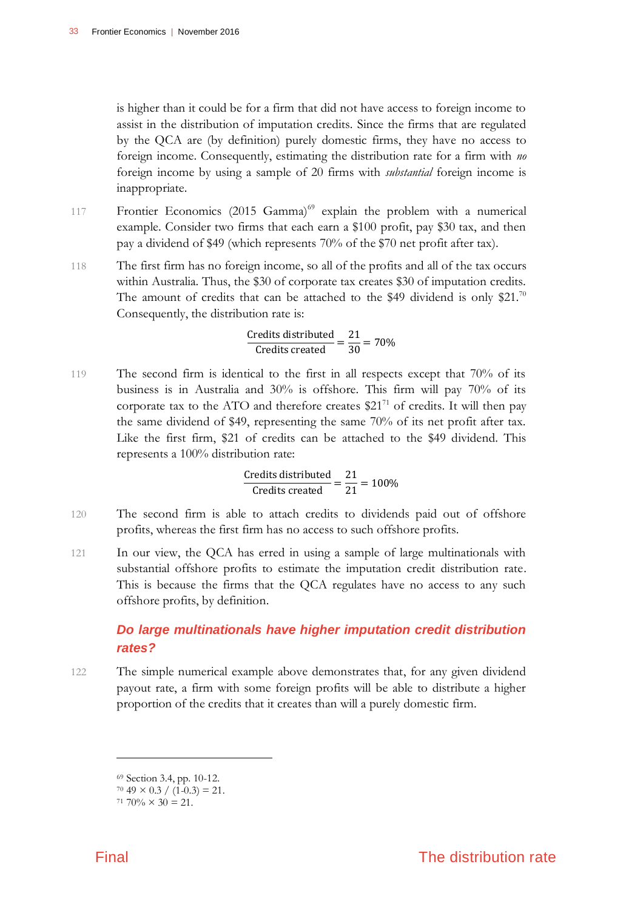is higher than it could be for a firm that did not have access to foreign income to assist in the distribution of imputation credits. Since the firms that are regulated by the QCA are (by definition) purely domestic firms, they have no access to foreign income. Consequently, estimating the distribution rate for a firm with *no* foreign income by using a sample of 20 firms with *substantial* foreign income is inappropriate.

- 117 Frontier Economics (2015 Gamma)<sup>69</sup> explain the problem with a numerical example. Consider two firms that each earn a \$100 profit, pay \$30 tax, and then pay a dividend of \$49 (which represents 70% of the \$70 net profit after tax).
- 118 The first firm has no foreign income, so all of the profits and all of the tax occurs within Australia. Thus, the \$30 of corporate tax creates \$30 of imputation credits. The amount of credits that can be attached to the \$49 dividend is only \$21.70 Consequently, the distribution rate is:

 $\frac{\text{Credits distributed}}{\text{Credits created}} = \frac{21}{30} = 70\%$ 

119 The second firm is identical to the first in all respects except that 70% of its business is in Australia and 30% is offshore. This firm will pay 70% of its corporate tax to the ATO and therefore creates  $$21^{71}$  of credits. It will then pay the same dividend of \$49, representing the same 70% of its net profit after tax. Like the first firm, \$21 of credits can be attached to the \$49 dividend. This represents a 100% distribution rate:

 $\frac{\text{Credits distributed}}{\text{Credits created}} = \frac{21}{21} = 100\%$ 

- 120 The second firm is able to attach credits to dividends paid out of offshore profits, whereas the first firm has no access to such offshore profits.
- 121 In our view, the QCA has erred in using a sample of large multinationals with substantial offshore profits to estimate the imputation credit distribution rate. This is because the firms that the QCA regulates have no access to any such offshore profits, by definition.

# *Do large multinationals have higher imputation credit distribution rates?*

122 The simple numerical example above demonstrates that, for any given dividend payout rate, a firm with some foreign profits will be able to distribute a higher proportion of the credits that it creates than will a purely domestic firm.

<sup>69</sup> Section 3.4, pp. 10-12.

 $70\,49 \times 0.3 \div (1\,0.3) = 21.$ 

 $71\ 70\% \times 30 = 21.$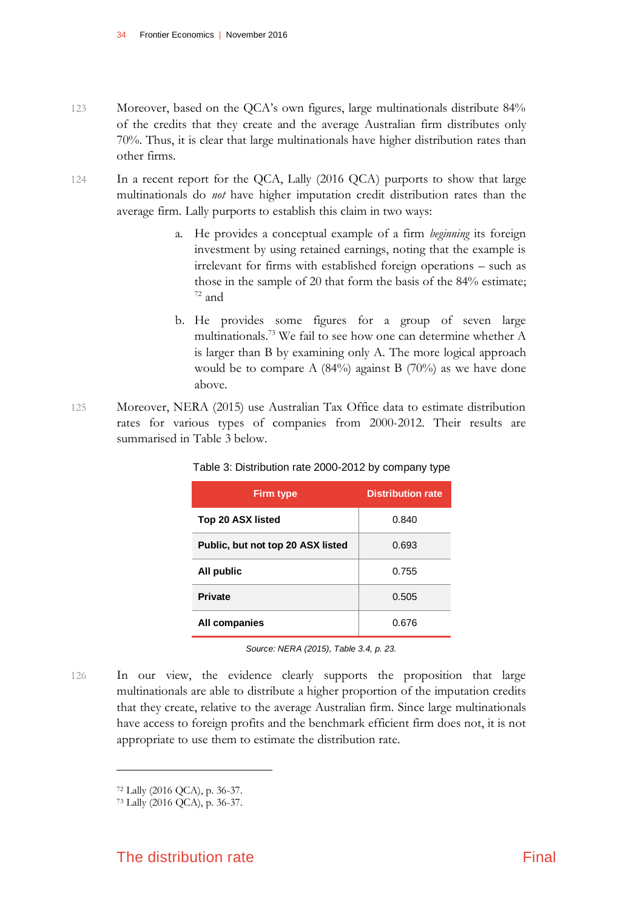- 123 Moreover, based on the QCA's own figures, large multinationals distribute 84% of the credits that they create and the average Australian firm distributes only 70%. Thus, it is clear that large multinationals have higher distribution rates than other firms.
- 124 In a recent report for the QCA, Lally (2016 QCA) purports to show that large multinationals do *not* have higher imputation credit distribution rates than the average firm. Lally purports to establish this claim in two ways:
	- a. He provides a conceptual example of a firm *beginning* its foreign investment by using retained earnings, noting that the example is irrelevant for firms with established foreign operations – such as those in the sample of 20 that form the basis of the 84% estimate;  $72$  and
	- b. He provides some figures for a group of seven large multinationals.<sup>73</sup> We fail to see how one can determine whether A is larger than B by examining only A. The more logical approach would be to compare A (84%) against B (70%) as we have done above.
- 125 Moreover, NERA (2015) use Australian Tax Office data to estimate distribution rates for various types of companies from 2000-2012. Their results are summarised in Table 3 below.

| <b>Firm type</b>                  | <b>Distribution rate</b> |  |
|-----------------------------------|--------------------------|--|
| Top 20 ASX listed                 | 0.840                    |  |
| Public, but not top 20 ASX listed | 0.693                    |  |
| All public                        | 0.755                    |  |
| <b>Private</b>                    | 0.505                    |  |
| All companies                     | 0.676                    |  |

Table 3: Distribution rate 2000-2012 by company type

*Source: NERA (2015), Table 3.4, p. 23.*

126 In our view, the evidence clearly supports the proposition that large multinationals are able to distribute a higher proportion of the imputation credits that they create, relative to the average Australian firm. Since large multinationals have access to foreign profits and the benchmark efficient firm does not, it is not appropriate to use them to estimate the distribution rate.

<sup>72</sup> Lally (2016 QCA), p. 36-37.

<sup>73</sup> Lally (2016 QCA), p. 36-37.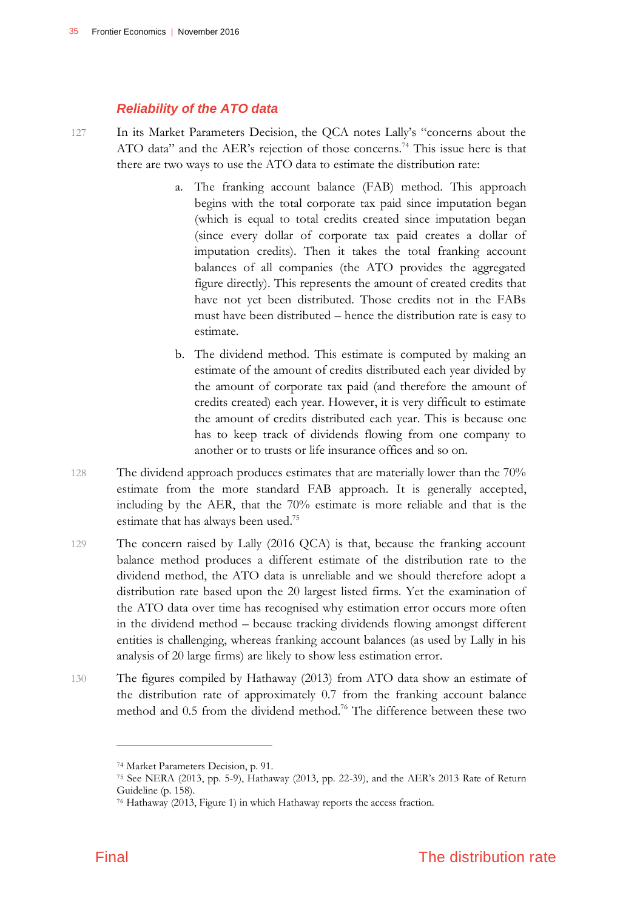### *Reliability of the ATO data*

- 127 In its Market Parameters Decision, the QCA notes Lally's "concerns about the ATO data" and the AER's rejection of those concerns.<sup>74</sup> This issue here is that there are two ways to use the ATO data to estimate the distribution rate:
	- a. The franking account balance (FAB) method. This approach begins with the total corporate tax paid since imputation began (which is equal to total credits created since imputation began (since every dollar of corporate tax paid creates a dollar of imputation credits). Then it takes the total franking account balances of all companies (the ATO provides the aggregated figure directly). This represents the amount of created credits that have not yet been distributed. Those credits not in the FABs must have been distributed – hence the distribution rate is easy to estimate.
	- b. The dividend method. This estimate is computed by making an estimate of the amount of credits distributed each year divided by the amount of corporate tax paid (and therefore the amount of credits created) each year. However, it is very difficult to estimate the amount of credits distributed each year. This is because one has to keep track of dividends flowing from one company to another or to trusts or life insurance offices and so on.
- 128 The dividend approach produces estimates that are materially lower than the 70% estimate from the more standard FAB approach. It is generally accepted, including by the AER, that the 70% estimate is more reliable and that is the estimate that has always been used.<sup>75</sup>
- 129 The concern raised by Lally (2016 QCA) is that, because the franking account balance method produces a different estimate of the distribution rate to the dividend method, the ATO data is unreliable and we should therefore adopt a distribution rate based upon the 20 largest listed firms. Yet the examination of the ATO data over time has recognised why estimation error occurs more often in the dividend method – because tracking dividends flowing amongst different entities is challenging, whereas franking account balances (as used by Lally in his analysis of 20 large firms) are likely to show less estimation error.
- 130 The figures compiled by Hathaway (2013) from ATO data show an estimate of the distribution rate of approximately 0.7 from the franking account balance method and 0.5 from the dividend method.<sup>76</sup> The difference between these two

<sup>74</sup> Market Parameters Decision, p. 91.

<sup>75</sup> See NERA (2013, pp. 5-9), Hathaway (2013, pp. 22-39), and the AER's 2013 Rate of Return Guideline (p. 158).

<sup>76</sup> Hathaway (2013, Figure 1) in which Hathaway reports the access fraction.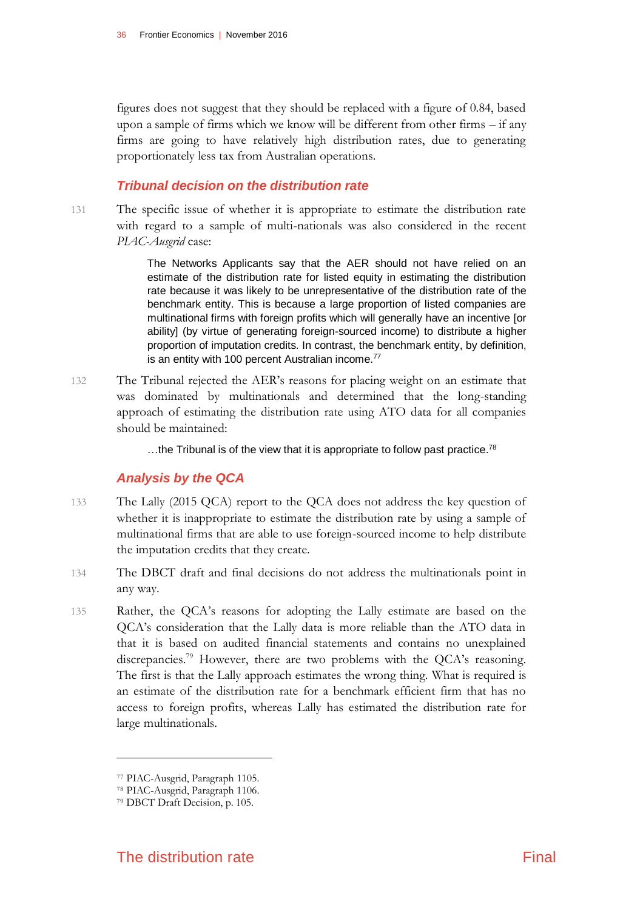figures does not suggest that they should be replaced with a figure of 0.84, based upon a sample of firms which we know will be different from other firms – if any firms are going to have relatively high distribution rates, due to generating proportionately less tax from Australian operations.

### *Tribunal decision on the distribution rate*

131 The specific issue of whether it is appropriate to estimate the distribution rate with regard to a sample of multi-nationals was also considered in the recent *PIAC-Ausgrid* case:

> The Networks Applicants say that the AER should not have relied on an estimate of the distribution rate for listed equity in estimating the distribution rate because it was likely to be unrepresentative of the distribution rate of the benchmark entity. This is because a large proportion of listed companies are multinational firms with foreign profits which will generally have an incentive [or ability] (by virtue of generating foreign-sourced income) to distribute a higher proportion of imputation credits. In contrast, the benchmark entity, by definition, is an entity with 100 percent Australian income.<sup>77</sup>

132 The Tribunal rejected the AER's reasons for placing weight on an estimate that was dominated by multinationals and determined that the long-standing approach of estimating the distribution rate using ATO data for all companies should be maintained:

...the Tribunal is of the view that it is appropriate to follow past practice.<sup>78</sup>

### *Analysis by the QCA*

- 133 The Lally (2015 QCA) report to the QCA does not address the key question of whether it is inappropriate to estimate the distribution rate by using a sample of multinational firms that are able to use foreign-sourced income to help distribute the imputation credits that they create.
- 134 The DBCT draft and final decisions do not address the multinationals point in any way.
- 135 Rather, the QCA's reasons for adopting the Lally estimate are based on the QCA's consideration that the Lally data is more reliable than the ATO data in that it is based on audited financial statements and contains no unexplained discrepancies.<sup>79</sup> However, there are two problems with the QCA's reasoning. The first is that the Lally approach estimates the wrong thing. What is required is an estimate of the distribution rate for a benchmark efficient firm that has no access to foreign profits, whereas Lally has estimated the distribution rate for large multinationals.

<sup>77</sup> PIAC-Ausgrid, Paragraph 1105.

<sup>78</sup> PIAC-Ausgrid, Paragraph 1106.

<sup>79</sup> DBCT Draft Decision, p. 105.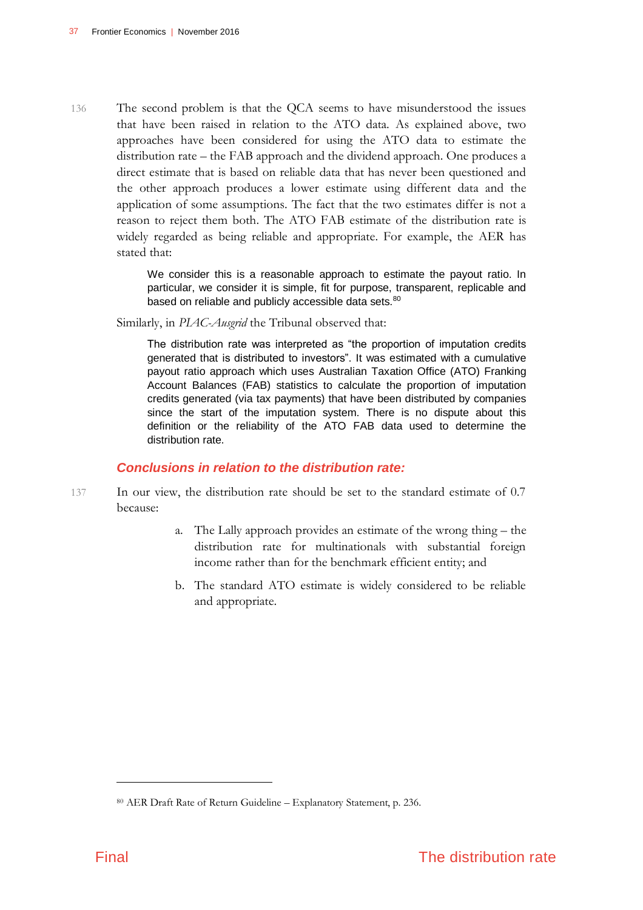136 The second problem is that the QCA seems to have misunderstood the issues that have been raised in relation to the ATO data. As explained above, two approaches have been considered for using the ATO data to estimate the distribution rate – the FAB approach and the dividend approach. One produces a direct estimate that is based on reliable data that has never been questioned and the other approach produces a lower estimate using different data and the application of some assumptions. The fact that the two estimates differ is not a reason to reject them both. The ATO FAB estimate of the distribution rate is widely regarded as being reliable and appropriate. For example, the AER has stated that:

> We consider this is a reasonable approach to estimate the payout ratio. In particular, we consider it is simple, fit for purpose, transparent, replicable and based on reliable and publicly accessible data sets.<sup>80</sup>

Similarly, in *PIAC-Ausgrid* the Tribunal observed that:

The distribution rate was interpreted as "the proportion of imputation credits generated that is distributed to investors". It was estimated with a cumulative payout ratio approach which uses Australian Taxation Office (ATO) Franking Account Balances (FAB) statistics to calculate the proportion of imputation credits generated (via tax payments) that have been distributed by companies since the start of the imputation system. There is no dispute about this definition or the reliability of the ATO FAB data used to determine the distribution rate.

### *Conclusions in relation to the distribution rate:*

- 137 In our view, the distribution rate should be set to the standard estimate of 0.7 because:
	- a. The Lally approach provides an estimate of the wrong thing the distribution rate for multinationals with substantial foreign income rather than for the benchmark efficient entity; and
	- b. The standard ATO estimate is widely considered to be reliable and appropriate.

<sup>80</sup> AER Draft Rate of Return Guideline – Explanatory Statement, p. 236.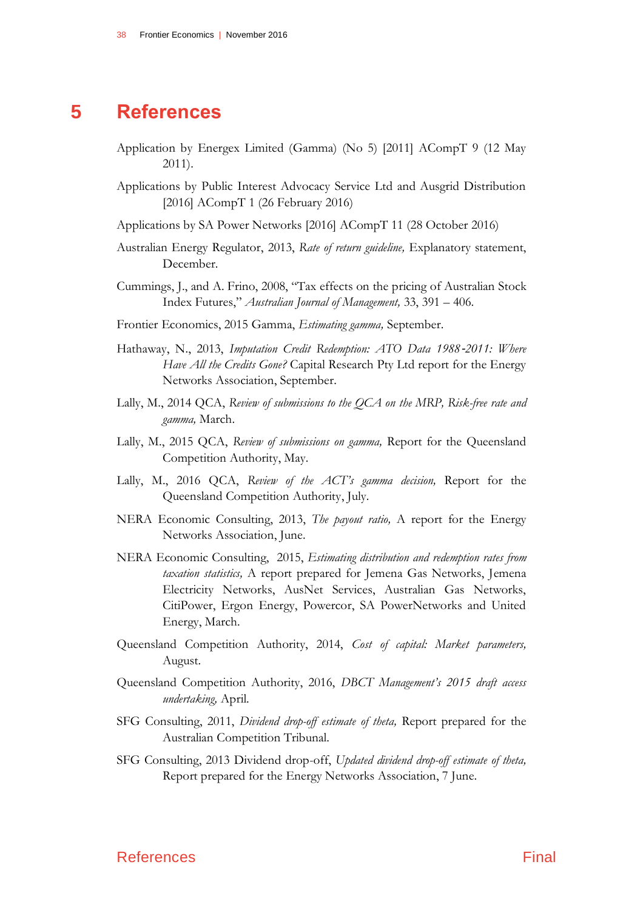# **5 References**

- <span id="page-41-0"></span>Application by Energex Limited (Gamma) (No 5) [2011] ACompT 9 (12 May 2011).
- Applications by Public Interest Advocacy Service Ltd and Ausgrid Distribution [2016] ACompT 1 (26 February 2016)
- Applications by SA Power Networks [2016] ACompT 11 (28 October 2016)
- Australian Energy Regulator, 2013, *Rate of return guideline,* Explanatory statement, December.
- Cummings, J., and A. Frino, 2008, "Tax effects on the pricing of Australian Stock Index Futures," *Australian Journal of Management,* 33, 391 – 406.
- Frontier Economics, 2015 Gamma, *Estimating gamma,* September.
- Hathaway, N., 2013, *Imputation Credit Redemption: ATO Data 1988*-*2011: Where Have All the Credits Gone?* Capital Research Pty Ltd report for the Energy Networks Association, September.
- Lally, M., 2014 QCA, *Review of submissions to the QCA on the MRP, Risk-free rate and gamma,* March.
- Lally, M., 2015 QCA, *Review of submissions on gamma,* Report for the Queensland Competition Authority, May.
- Lally, M., 2016 QCA, *Review of the ACT's gamma decision,* Report for the Queensland Competition Authority, July.
- NERA Economic Consulting, 2013, *The payout ratio,* A report for the Energy Networks Association, June.
- NERA Economic Consulting, 2015, *Estimating distribution and redemption rates from taxation statistics,* A report prepared for Jemena Gas Networks, Jemena Electricity Networks, AusNet Services, Australian Gas Networks, CitiPower, Ergon Energy, Powercor, SA PowerNetworks and United Energy, March.
- Queensland Competition Authority, 2014, *Cost of capital: Market parameters,* August.
- Queensland Competition Authority, 2016, *DBCT Management's 2015 draft access undertaking,* April.
- SFG Consulting, 2011, *Dividend drop-off estimate of theta,* Report prepared for the Australian Competition Tribunal.
- SFG Consulting, 2013 Dividend drop-off, *Updated dividend drop-off estimate of theta,* Report prepared for the Energy Networks Association, 7 June.

### References **Final**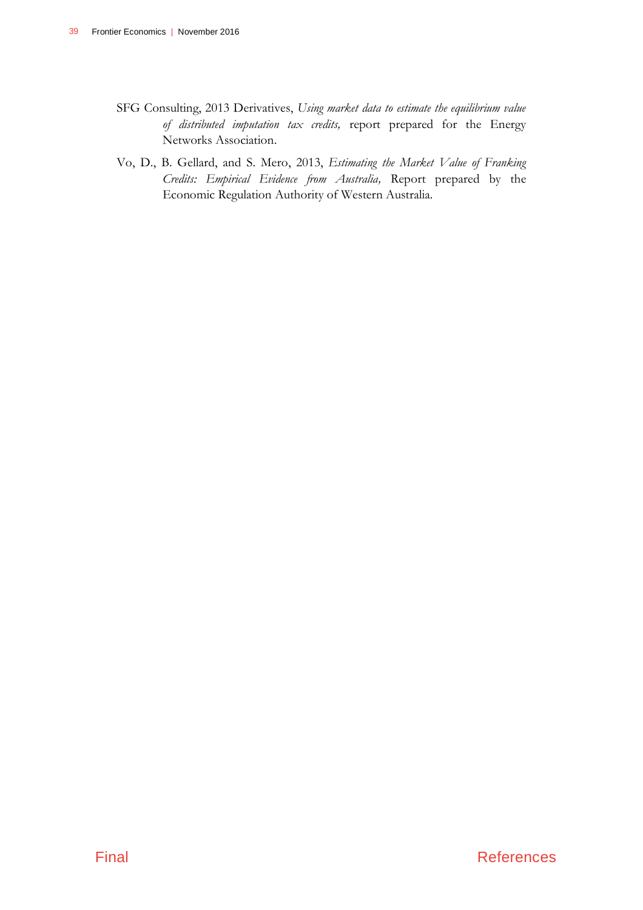- SFG Consulting, 2013 Derivatives, *Using market data to estimate the equilibrium value of distributed imputation tax credits,* report prepared for the Energy Networks Association.
- Vo, D., B. Gellard, and S. Mero, 2013, *Estimating the Market Value of Franking Credits: Empirical Evidence from Australia,* Report prepared by the Economic Regulation Authority of Western Australia.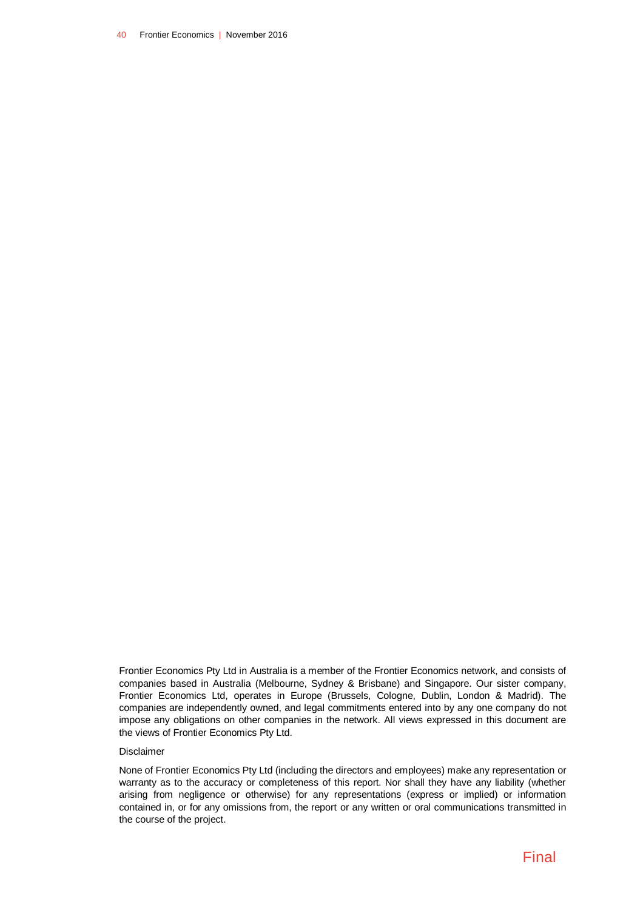40 Frontier Economics | November 2016

Frontier Economics Pty Ltd in Australia is a member of the Frontier Economics network, and consists of companies based in Australia (Melbourne, Sydney & Brisbane) and Singapore. Our sister company, Frontier Economics Ltd, operates in Europe (Brussels, Cologne, Dublin, London & Madrid). The companies are independently owned, and legal commitments entered into by any one company do not impose any obligations on other companies in the network. All views expressed in this document are the views of Frontier Economics Pty Ltd.

#### Disclaimer

None of Frontier Economics Pty Ltd (including the directors and employees) make any representation or warranty as to the accuracy or completeness of this report. Nor shall they have any liability (whether arising from negligence or otherwise) for any representations (express or implied) or information contained in, or for any omissions from, the report or any written or oral communications transmitted in the course of the project.